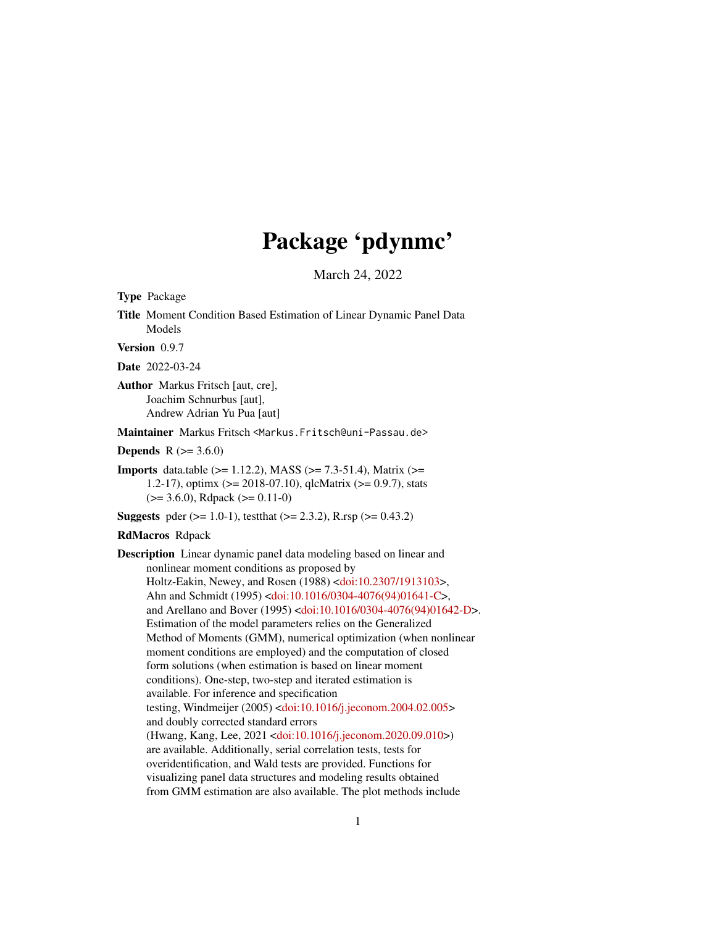# Package 'pdynmc'

March 24, 2022

<span id="page-0-0"></span>Type Package

Title Moment Condition Based Estimation of Linear Dynamic Panel Data Models

Version 0.9.7

Date 2022-03-24

Author Markus Fritsch [aut, cre], Joachim Schnurbus [aut], Andrew Adrian Yu Pua [aut]

Maintainer Markus Fritsch <Markus.Fritsch@uni-Passau.de>

**Depends** R  $(>= 3.6.0)$ 

**Imports** data.table ( $>= 1.12.2$ ), MASS ( $>= 7.3-51.4$ ), Matrix ( $>=$ 1.2-17), optimx ( $> = 2018-07.10$ ), qlcMatrix ( $> = 0.9.7$ ), stats  $(>= 3.6.0)$ , Rdpack  $(>= 0.11-0)$ 

**Suggests** pder ( $>= 1.0-1$ ), test that ( $>= 2.3.2$ ), R.rsp ( $>= 0.43.2$ )

RdMacros Rdpack

Description Linear dynamic panel data modeling based on linear and nonlinear moment conditions as proposed by Holtz-Eakin, Newey, and Rosen (1988) [<doi:10.2307/1913103>](https://doi.org/10.2307/1913103), Ahn and Schmidt (1995) [<doi:10.1016/0304-4076\(94\)01641-C>](https://doi.org/10.1016/0304-4076(94)01641-C), and Arellano and Bover (1995) [<doi:10.1016/0304-4076\(94\)01642-D>](https://doi.org/10.1016/0304-4076(94)01642-D). Estimation of the model parameters relies on the Generalized Method of Moments (GMM), numerical optimization (when nonlinear moment conditions are employed) and the computation of closed form solutions (when estimation is based on linear moment conditions). One-step, two-step and iterated estimation is available. For inference and specification testing, Windmeijer (2005) [<doi:10.1016/j.jeconom.2004.02.005>](https://doi.org/10.1016/j.jeconom.2004.02.005) and doubly corrected standard errors (Hwang, Kang, Lee, 2021 [<doi:10.1016/j.jeconom.2020.09.010>](https://doi.org/10.1016/j.jeconom.2020.09.010)) are available. Additionally, serial correlation tests, tests for overidentification, and Wald tests are provided. Functions for visualizing panel data structures and modeling results obtained from GMM estimation are also available. The plot methods include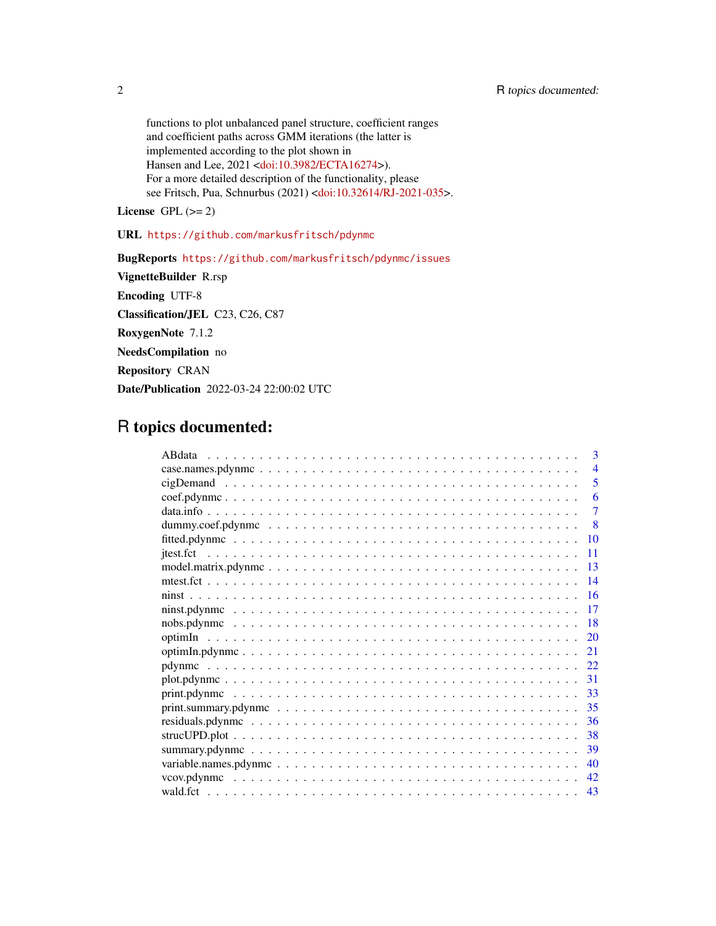functions to plot unbalanced panel structure, coefficient ranges and coefficient paths across GMM iterations (the latter is implemented according to the plot shown in Hansen and Lee, 2021 [<doi:10.3982/ECTA16274>](https://doi.org/10.3982/ECTA16274)). For a more detailed description of the functionality, please see Fritsch, Pua, Schnurbus (2021) [<doi:10.32614/RJ-2021-035>](https://doi.org/10.32614/RJ-2021-035).

License GPL  $(>= 2)$ 

URL <https://github.com/markusfritsch/pdynmc>

BugReports <https://github.com/markusfritsch/pdynmc/issues> VignetteBuilder R.rsp Encoding UTF-8 Classification/JEL C23, C26, C87 RoxygenNote 7.1.2 NeedsCompilation no Repository CRAN Date/Publication 2022-03-24 22:00:02 UTC

# R topics documented:

|                                                                                                                    | 3                       |
|--------------------------------------------------------------------------------------------------------------------|-------------------------|
|                                                                                                                    | $\overline{4}$          |
|                                                                                                                    | $\overline{\mathbf{5}}$ |
|                                                                                                                    | 6                       |
|                                                                                                                    | 7                       |
|                                                                                                                    | 8                       |
|                                                                                                                    | 10                      |
|                                                                                                                    | 11                      |
|                                                                                                                    | 13                      |
|                                                                                                                    | 14                      |
|                                                                                                                    | -16                     |
| $\text{minst.pdf}$                                                                                                 | 17                      |
|                                                                                                                    | -18                     |
|                                                                                                                    | 20                      |
|                                                                                                                    | 21                      |
|                                                                                                                    |                         |
|                                                                                                                    | -31                     |
|                                                                                                                    | 33                      |
|                                                                                                                    | 35                      |
|                                                                                                                    | 36                      |
|                                                                                                                    | 38                      |
|                                                                                                                    | 39                      |
| variable.names.pdynmc $\ldots \ldots \ldots \ldots \ldots \ldots \ldots \ldots \ldots \ldots \ldots \ldots \ldots$ | 40                      |
|                                                                                                                    | 42                      |
|                                                                                                                    | 43                      |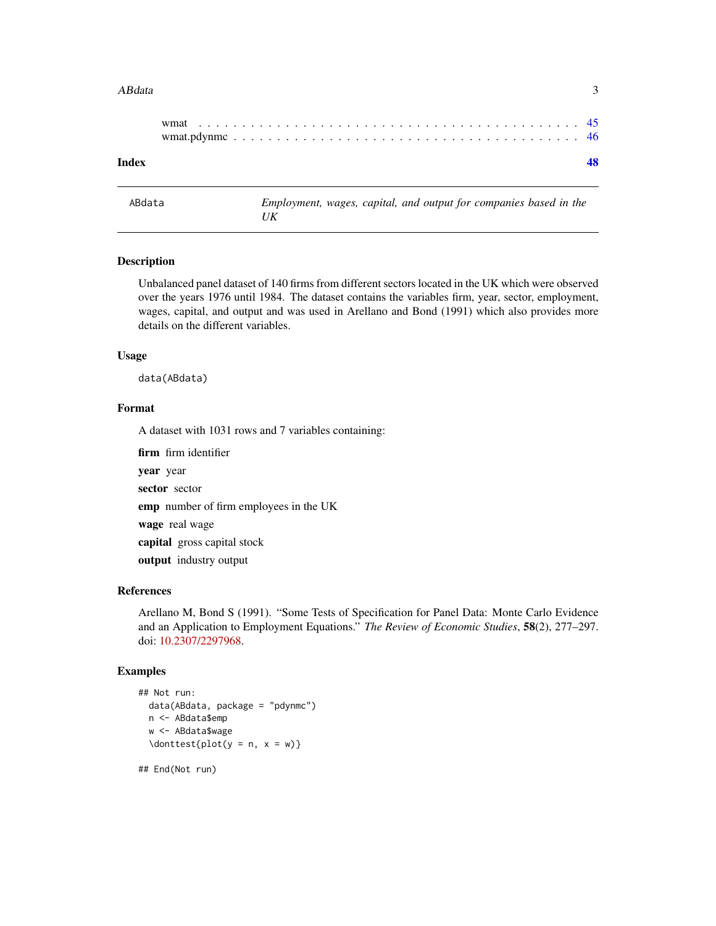#### <span id="page-2-0"></span>ABdata 3

| Index |  |  |  |  |  |  |  |  |  |  |  |  |  |  |  |  |  |
|-------|--|--|--|--|--|--|--|--|--|--|--|--|--|--|--|--|--|
|       |  |  |  |  |  |  |  |  |  |  |  |  |  |  |  |  |  |
|       |  |  |  |  |  |  |  |  |  |  |  |  |  |  |  |  |  |
|       |  |  |  |  |  |  |  |  |  |  |  |  |  |  |  |  |  |

ABdata *Employment, wages, capital, and output for companies based in the UK*

#### Description

Unbalanced panel dataset of 140 firms from different sectors located in the UK which were observed over the years 1976 until 1984. The dataset contains the variables firm, year, sector, employment, wages, capital, and output and was used in Arellano and Bond (1991) which also provides more details on the different variables.

# Usage

data(ABdata)

# Format

A dataset with 1031 rows and 7 variables containing:

firm firm identifier

year year sector sector emp number of firm employees in the UK wage real wage capital gross capital stock output industry output

# References

Arellano M, Bond S (1991). "Some Tests of Specification for Panel Data: Monte Carlo Evidence and an Application to Employment Equations." *The Review of Economic Studies*, 58(2), 277–297. doi: [10.2307/2297968.](https://doi.org/10.2307/2297968)

#### Examples

```
## Not run:
 data(ABdata, package = "pdynmc")
 n <- ABdata$emp
 w <- ABdata$wage
 \dot{\text{plot}}(y = n, x = w)
```
## End(Not run)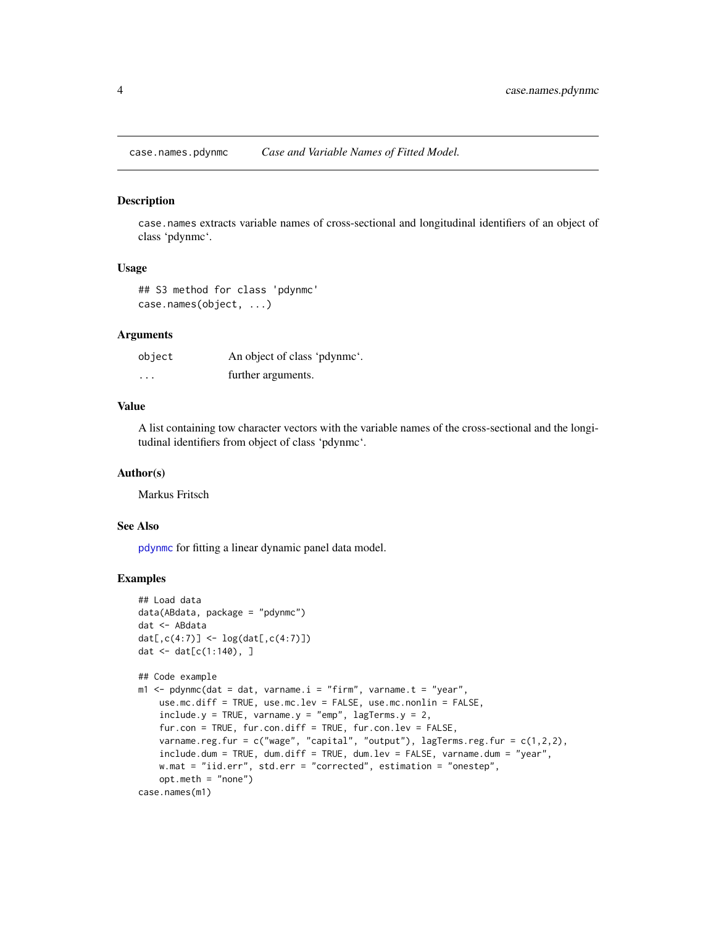<span id="page-3-0"></span>case.names.pdynmc *Case and Variable Names of Fitted Model.*

#### Description

case.names extracts variable names of cross-sectional and longitudinal identifiers of an object of class 'pdynmc'.

#### Usage

## S3 method for class 'pdynmc' case.names(object, ...)

#### Arguments

| object   | An object of class 'pdynmc'. |
|----------|------------------------------|
| $\cdots$ | further arguments.           |

# Value

A list containing tow character vectors with the variable names of the cross-sectional and the longitudinal identifiers from object of class 'pdynmc'.

#### Author(s)

Markus Fritsch

#### See Also

[pdynmc](#page-21-1) for fitting a linear dynamic panel data model.

```
## Load data
data(ABdata, package = "pdynmc")
dat <- ABdata
dat[,c(4:7)] <- log(data[, c(4:7)]dat <- dat[c(1:140), ]
## Code example
m1 < - pdynmc(dat = dat, varname.i = "firm", varname.t = "year",
   use.mc.diff = TRUE, use.mc.lev = FALSE, use.mc.nonlin = FALSE,
    include.y = TRUE, varname.y = "emp", lagTerms.y = 2,fur.con = TRUE, fur.con.diff = TRUE, fur.con.lev = FALSE,
   varname.reg.fur = c("wage", "capital", "output"), lagTerms.reg.fur = c(1,2,2),
    include.dum = TRUE, dum.diff = TRUE, dum.lev = FALSE, varname.dum = "year",
   w.mat = "iid.err", std.err = "corrected", estimation = "onestep",
   opt.meth = "none")
case.names(m1)
```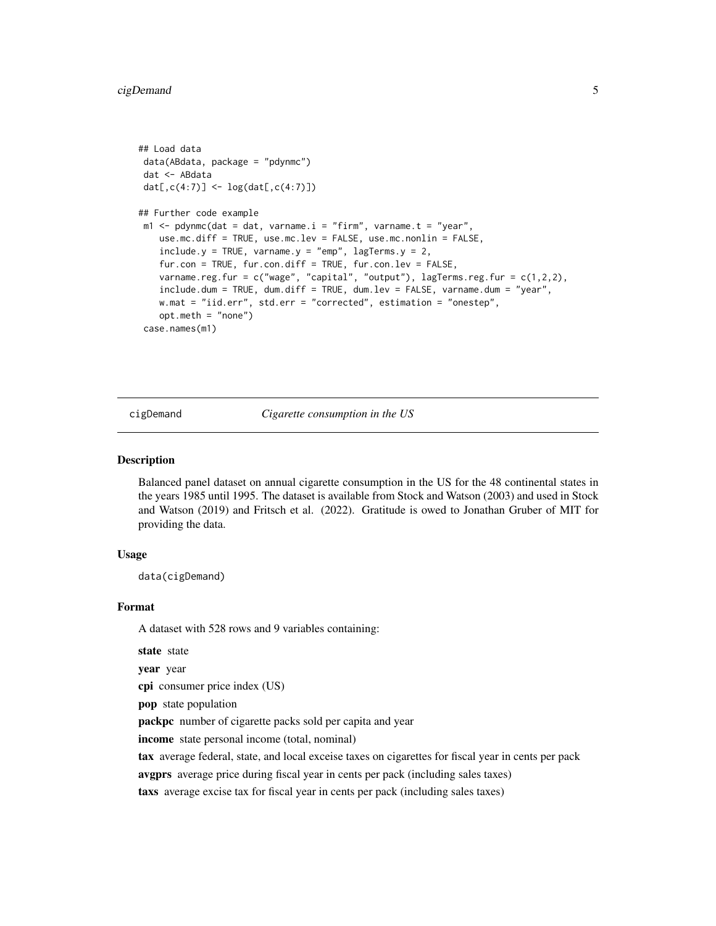# <span id="page-4-0"></span>cigDemand 5

```
## Load data
data(ABdata, package = "pdynmc")
dat <- ABdata
dat[,c(4:7)] <- log(data[, c(4:7)]## Further code example
m1 \leq -\text{pdynmc}(dat = dat, varname.i = "firm", varname.t = "year",use.mc.diff = TRUE, use.mc.lev = FALSE, use.mc.nonlin = FALSE,
   include.y = TRUE, varname.y = "emp", lagTerms.y = 2,fur.con = TRUE, fur.con.diff = TRUE, fur.con.lev = FALSE,
    varname.reg.fur = c("wage", "capital", "output"), lagTerms.reg.fur = <math>c(1,2,2)</math>,include.dum = TRUE, dum.diff = TRUE, dum.lev = FALSE, varname.dum = "year",
   w.mat = "iid.err", std.err = "corrected", estimation = "onestep",
    opt.meth = "none")
case.names(m1)
```
cigDemand *Cigarette consumption in the US*

#### **Description**

Balanced panel dataset on annual cigarette consumption in the US for the 48 continental states in the years 1985 until 1995. The dataset is available from Stock and Watson (2003) and used in Stock and Watson (2019) and Fritsch et al. (2022). Gratitude is owed to Jonathan Gruber of MIT for providing the data.

#### Usage

data(cigDemand)

#### Format

A dataset with 528 rows and 9 variables containing:

state state

year year

cpi consumer price index (US)

pop state population

packpc number of cigarette packs sold per capita and year

income state personal income (total, nominal)

tax average federal, state, and local exceise taxes on cigarettes for fiscal year in cents per pack

avgprs average price during fiscal year in cents per pack (including sales taxes)

taxs average excise tax for fiscal year in cents per pack (including sales taxes)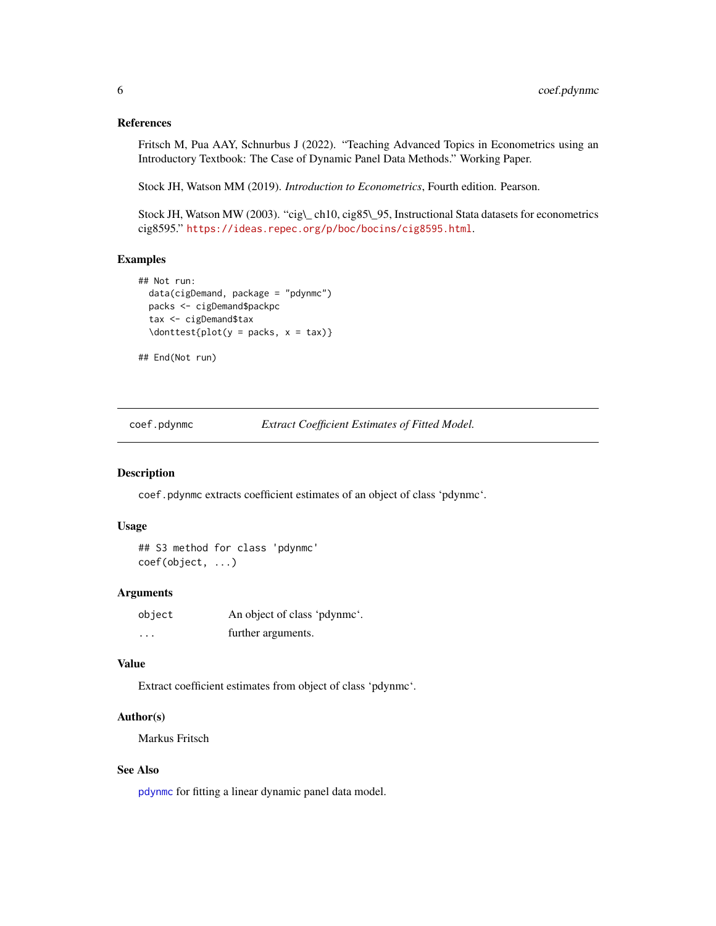#### <span id="page-5-0"></span>References

Fritsch M, Pua AAY, Schnurbus J (2022). "Teaching Advanced Topics in Econometrics using an Introductory Textbook: The Case of Dynamic Panel Data Methods." Working Paper.

Stock JH, Watson MM (2019). *Introduction to Econometrics*, Fourth edition. Pearson.

Stock JH, Watson MW (2003). "cig\\_ ch10, cig85\\_95, Instructional Stata datasets for econometrics cig8595." <https://ideas.repec.org/p/boc/bocins/cig8595.html>.

#### Examples

```
## Not run:
 data(cigDemand, package = "pdynmc")
 packs <- cigDemand$packpc
 tax <- cigDemand$tax
 \dot{\text{plot}}(y = packs, x = tax)
```
## End(Not run)

coef.pdynmc *Extract Coefficient Estimates of Fitted Model.*

#### Description

coef.pdynmc extracts coefficient estimates of an object of class 'pdynmc'.

#### Usage

```
## S3 method for class 'pdynmc'
coef(object, ...)
```
#### **Arguments**

| object   | An object of class 'pdynme'. |
|----------|------------------------------|
| $\cdots$ | further arguments.           |

# Value

Extract coefficient estimates from object of class 'pdynmc'.

#### Author(s)

Markus Fritsch

#### See Also

[pdynmc](#page-21-1) for fitting a linear dynamic panel data model.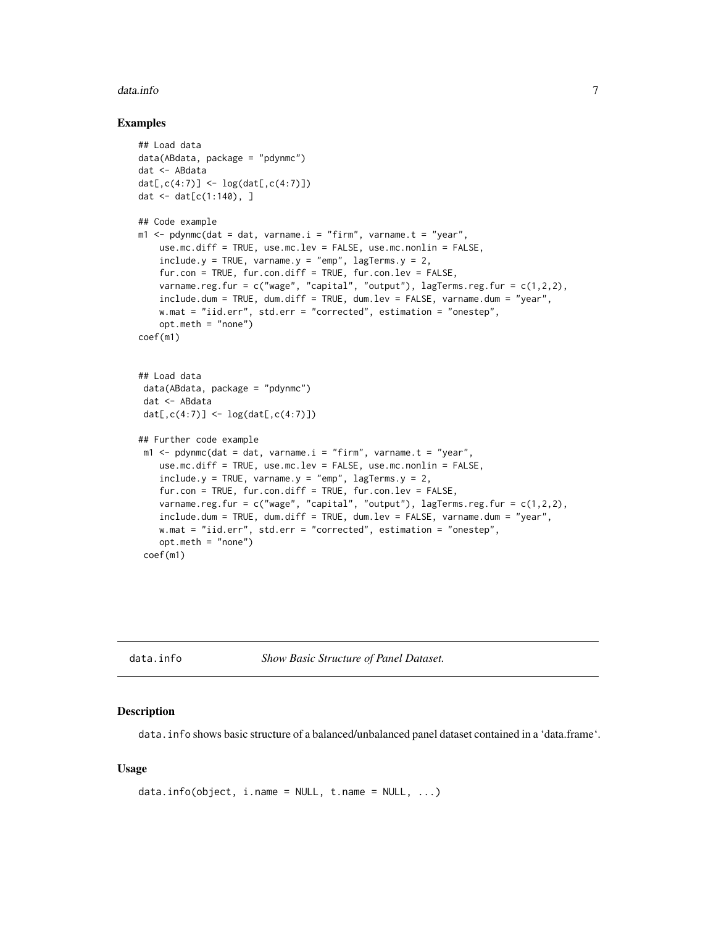#### <span id="page-6-0"></span>data.info 7

#### Examples

```
## Load data
data(ABdata, package = "pdynmc")
dat <- ABdata
dat[,c(4:7)] <- log(data[, c(4:7)]dat <- dat[c(1:140), ]
## Code example
m1 <- pdynmc(dat = dat, varname.i = "firm", varname.t = "year",
    use.mc.diff = TRUE, use.mc.lev = FALSE, use.mc.nonlin = FALSE,
    include.y = TRUE, varname.y = "emp", lagTerms.y = 2,fur.con = TRUE, fur.con.diff = TRUE, fur.con.lev = FALSE,
   varname.reg.fur = c("wage", "capital", "output"), lagTerms.reg.frur = <math>c(1,2,2)</math>,include.dum = TRUE, dum.diff = TRUE, dum.lev = FALSE, varname.dum = "year",
   w.mat = "iid.err", std.err = "corrected", estimation = "onestep",
    opt.meth = "none")
coef(m1)
## Load data
 data(ABdata, package = "pdynmc")
 dat <- ABdata
 dat[,c(4:7)] <- log(data[, c(4:7)]## Further code example
 m1 \leq pdynmc(dat = dat, varname.i = "firm", varname.t = "year",
   use.mc.diff = TRUE, use.mc.lev = FALSE, use.mc.nonlin = FALSE,
    include.y = TRUE, varname.y = "emp", lagTerms.y = 2,
    fur.con = TRUE, fur.con.diff = TRUE, fur.con.lev = FALSE,
    varname.reg.fur = c("wage", "capital", "output"), lagTerms.reg.fur = c(1,2,2),
    include.dum = TRUE, dum.diff = TRUE, dum.lev = FALSE, varname.dum = "year",
   w.mat = "iid.err", std.err = "corrected", estimation = "onestep",
    opt.meth = "none")
 coef(m1)
```
data.info *Show Basic Structure of Panel Dataset.*

#### Description

data.info shows basic structure of a balanced/unbalanced panel dataset contained in a 'data.frame'.

#### Usage

```
data.info(object, i.name = NULL, t.name = NULL, ...)
```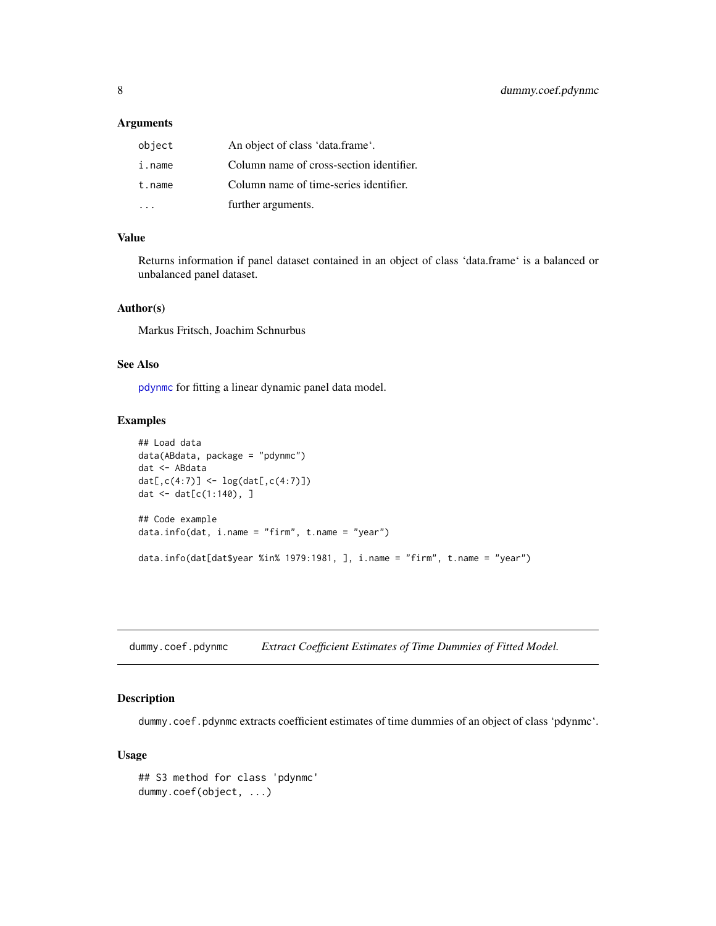#### <span id="page-7-0"></span>Arguments

| object | An object of class 'data.frame'.         |
|--------|------------------------------------------|
| i.name | Column name of cross-section identifier. |
| t.name | Column name of time-series identifier.   |
|        | further arguments.                       |

# Value

Returns information if panel dataset contained in an object of class 'data.frame' is a balanced or unbalanced panel dataset.

# Author(s)

Markus Fritsch, Joachim Schnurbus

#### See Also

[pdynmc](#page-21-1) for fitting a linear dynamic panel data model.

# Examples

```
## Load data
data(ABdata, package = "pdynmc")
dat <- ABdata
dat[,c(4:7)] <- log(data[, c(4:7)])
dat <- dat[c(1:140), ]
## Code example
data.info(dat, i.name = "firm", t.name = "year")
data.info(dat[dat$year %in% 1979:1981, ], i.name = "firm", t.name = "year")
```
dummy.coef.pdynmc *Extract Coefficient Estimates of Time Dummies of Fitted Model.*

# Description

dummy.coef.pdynmc extracts coefficient estimates of time dummies of an object of class 'pdynmc'.

#### Usage

```
## S3 method for class 'pdynmc'
dummy.coef(object, ...)
```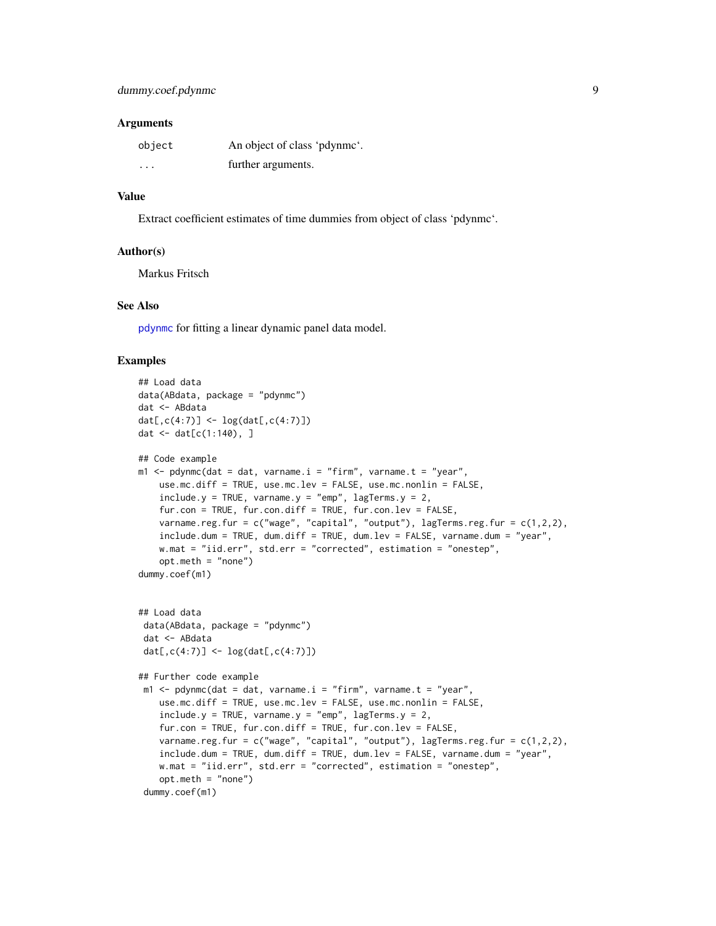#### **Arguments**

| object   | An object of class 'pdynme'. |
|----------|------------------------------|
| $\cdots$ | further arguments.           |

#### Value

Extract coefficient estimates of time dummies from object of class 'pdynmc'.

#### Author(s)

Markus Fritsch

# See Also

[pdynmc](#page-21-1) for fitting a linear dynamic panel data model.

```
## Load data
data(ABdata, package = "pdynmc")
dat <- ABdata
dat[,c(4:7)] <- log(data[, c(4:7)]dat <- dat[c(1:140), ]
## Code example
m1 \leq pdynmc(dat = dat, varname.i = "firm", varname.t = "year",
   use.mc.diff = TRUE, use.mc.lev = FALSE, use.mc.nonlin = FALSE,
   include.y = TRUE, varname.y = "emp", lagTerms.y = 2,
   fur.con = TRUE, fur.con.diff = TRUE, fur.con.lev = FALSE,
   varname.reg.fur = c("wage", "capital", "output"), lagTerms.reg.fur = <math>c(1,2,2)</math>,include.dum = TRUE, dum.diff = TRUE, dum.lev = FALSE, varname.dum = "year",
   w.mat = "iid.err", std.err = "corrected", estimation = "onestep",
    opt.meth = "none")
dummy.coef(m1)
## Load data
 data(ABdata, package = "pdynmc")
 dat <- ABdata
 dat[,c(4:7)] <- log(data[, c(4:7)])## Further code example
 m1 <- pdynmc(dat = dat, varname.i = "firm", varname.t = "year",
   use.mc.diff = TRUE, use.mc.lev = FALSE, use.mc.nonlin = FALSE,
    include.y = TRUE, varname.y = "emp", lagTerms.y = 2,fur.con = TRUE, fur.con.diff = TRUE, fur.con.lev = FALSE,
    varname.reg.fur = c("wage", "capital", "output"), lagTerms.reg.fur = c(1,2,2),
    include.dum = TRUE, dum.diff = TRUE, dum.lev = FALSE, varname.dum = "year",
   w.mat = "iid.err", std.err = "corrected", estimation = "onestep",
    opt.meth = "none")
 dummy.coef(m1)
```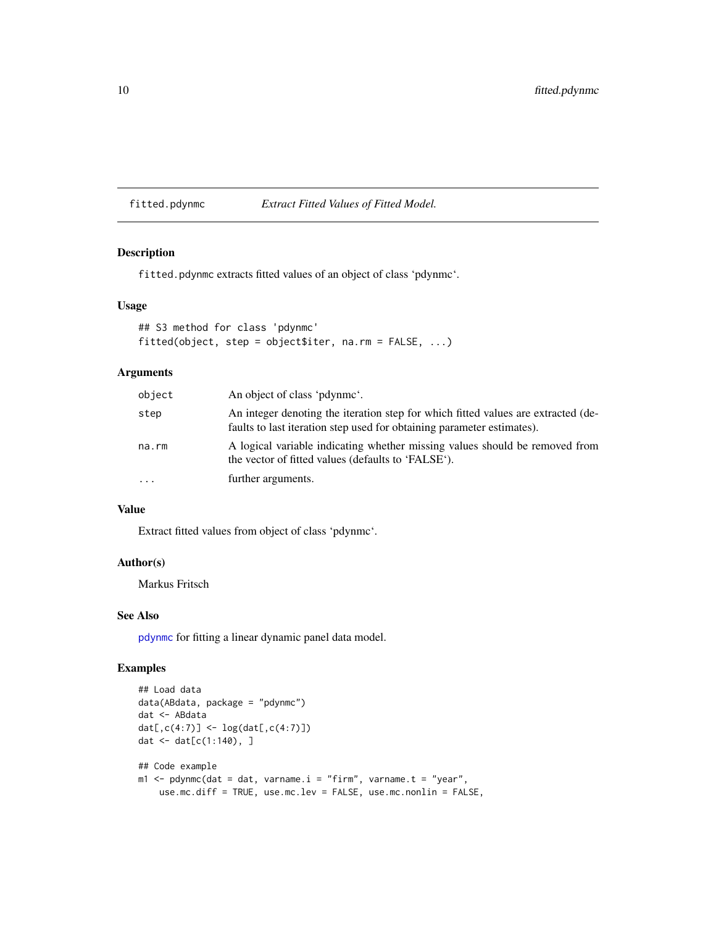<span id="page-9-0"></span>fitted.pdynmc *Extract Fitted Values of Fitted Model.*

# Description

fitted.pdynmc extracts fitted values of an object of class 'pdynmc'.

#### Usage

```
## S3 method for class 'pdynmc'
fitted(object, step = object$iter, na.rm = FALSE, ...)
```
# Arguments

| object | An object of class 'pdynme'.                                                                                                                                |
|--------|-------------------------------------------------------------------------------------------------------------------------------------------------------------|
| step   | An integer denoting the iteration step for which fitted values are extracted (de-<br>faults to last iteration step used for obtaining parameter estimates). |
| na.rm  | A logical variable indicating whether missing values should be removed from<br>the vector of fitted values (defaults to 'FALSE').                           |
| .      | further arguments.                                                                                                                                          |

# Value

Extract fitted values from object of class 'pdynmc'.

# Author(s)

Markus Fritsch

# See Also

[pdynmc](#page-21-1) for fitting a linear dynamic panel data model.

```
## Load data
data(ABdata, package = "pdynmc")
dat <- ABdata
dat[,c(4:7)] <- log(dat[,c(4:7)])
dat <- dat[c(1:140), ]
## Code example
m1 <- pdynmc(dat = dat, varname.i = "firm", varname.t = "year",
   use.mc.diff = TRUE, use.mc.lev = FALSE, use.mc.nonlin = FALSE,
```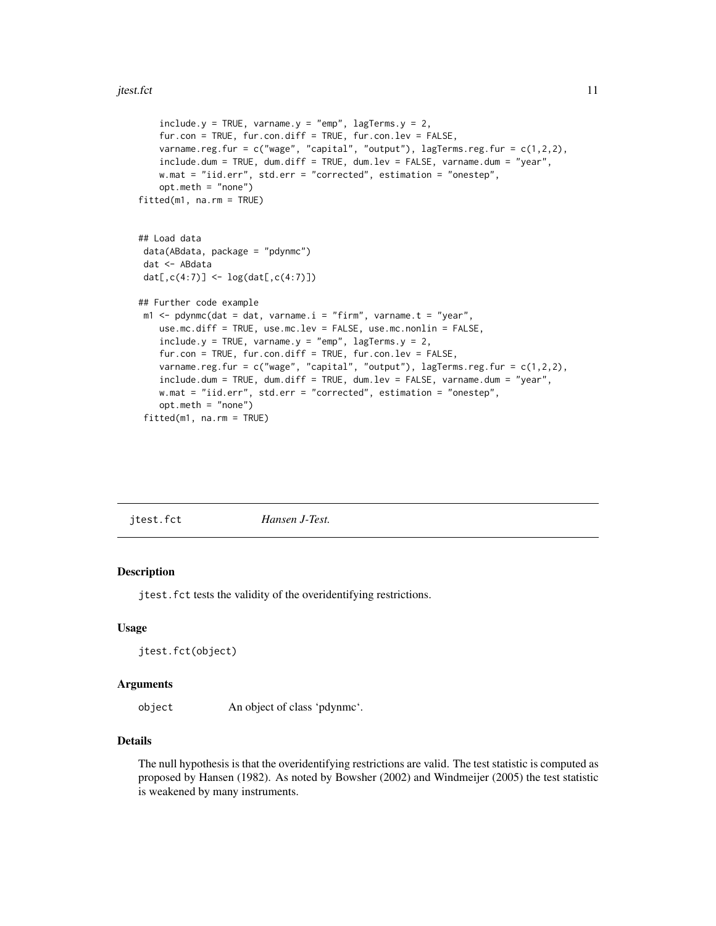```
include.y = TRUE, varname.y = "emp", lagTerms.y = 2,fur.con = TRUE, fur.con.diff = TRUE, fur.con.lev = FALSE,
   varname.reg.fur = c("wage", "capital", "output"), lagTerms.reg.fur = c(1,2,2),
   include.dum = TRUE, dum.diff = TRUE, dum.lev = FALSE, varname.dum = "year",
   w.mat = "iid.err", std.err = "corrected", estimation = "onestep",
   opt.meth = "none")
fitted(m1, na.rm = TRUE)
## Load data
data(ABdata, package = "pdynmc")
dat <- ABdata
dat[,c(4:7)] <- log(dat[,c(4:7)])
## Further code example
m1 <- pdynmc(dat = dat, varname.i = "firm", varname.t = "year",
   use.mc.diff = TRUE, use.mc.lev = FALSE, use.mc.nonlin = FALSE,
   include.y = TRUE, varname.y = "emp", lagTerms.y = 2,
   fur.con = TRUE, fur.con.diff = TRUE, fur.con.lev = FALSE,
   varname.reg.fur = c("wage", "capital", "output"), lagTerms.reg.fur = c(1,2,2),
   include.dum = TRUE, dum.diff = TRUE, dum.lev = FALSE, varname.dum = "year",
   w.mat = "iid.err", std.err = "corrected", estimation = "onestep",
   opt.meth = "none")
fitted(m1, na.rm = TRUE)
```
<span id="page-10-1"></span>jtest.fct *Hansen J-Test.*

# Description

jtest.fct tests the validity of the overidentifying restrictions.

#### Usage

```
jtest.fct(object)
```
#### Arguments

object An object of class 'pdynmc'.

# Details

The null hypothesis is that the overidentifying restrictions are valid. The test statistic is computed as proposed by Hansen (1982). As noted by Bowsher (2002) and Windmeijer (2005) the test statistic is weakened by many instruments.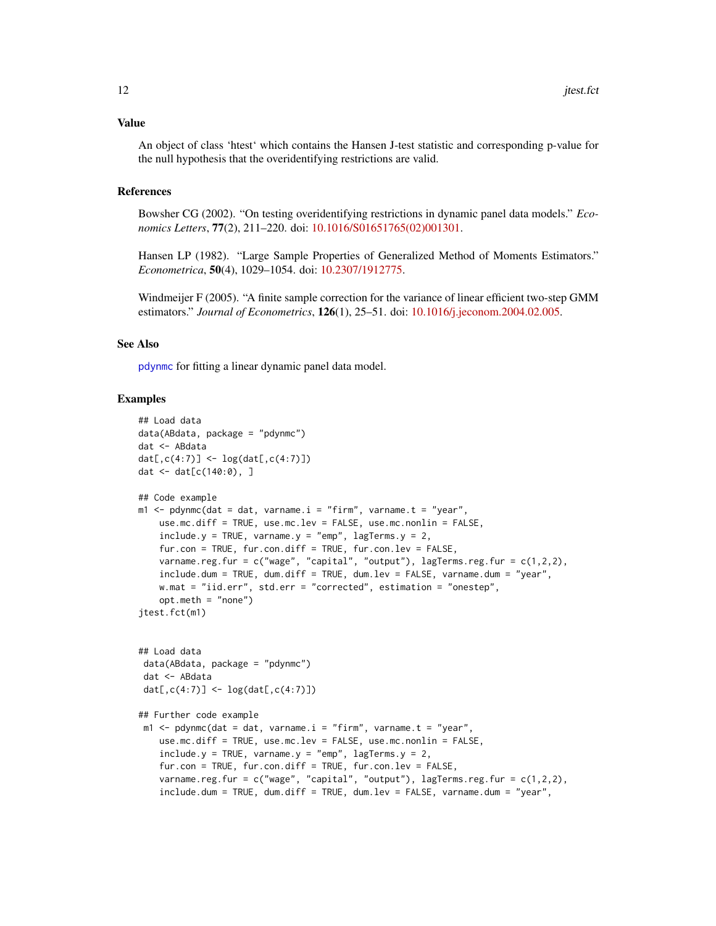#### <span id="page-11-0"></span>Value

An object of class 'htest' which contains the Hansen J-test statistic and corresponding p-value for the null hypothesis that the overidentifying restrictions are valid.

#### References

Bowsher CG (2002). "On testing overidentifying restrictions in dynamic panel data models." *Economics Letters*, 77(2), 211–220. doi: [10.1016/S01651765\(02\)001301.](https://doi.org/10.1016/S0165-1765(02)00130-1)

Hansen LP (1982). "Large Sample Properties of Generalized Method of Moments Estimators." *Econometrica*, 50(4), 1029–1054. doi: [10.2307/1912775.](https://doi.org/10.2307/1912775)

Windmeijer F (2005). "A finite sample correction for the variance of linear efficient two-step GMM estimators." *Journal of Econometrics*, 126(1), 25–51. doi: [10.1016/j.jeconom.2004.02.005.](https://doi.org/10.1016/j.jeconom.2004.02.005)

#### See Also

[pdynmc](#page-21-1) for fitting a linear dynamic panel data model.

```
## Load data
data(ABdata, package = "pdynmc")
dat <- ABdata
dat[,c(4:7)] <- log(dat[,c(4:7)])
dat <- dat[c(140:0), ]
## Code example
m1 < - pdynmc(dat = dat, varname.i = "firm", varname.t = "year",
    use.mc.diff = TRUE, use.mc.lev = FALSE, use.mc.nonlin = FALSE,
    include.y = TRUE, varname.y = "emp", lagTerms.y = 2,fur.con = TRUE, fur.con.diff = TRUE, fur.con.lev = FALSE,
    varname.reg.fur = c("wage", "capital", "output"), lagTerms.reg.fur = <math>c(1,2,2)</math>,include.dum = TRUE, dum.diff = TRUE, dum.lev = FALSE, varname.dum = "year",
    w.mat = "iid.err", std.err = "corrected", estimation = "onestep",
    opt.meth = "none")
jtest.fct(m1)
## Load data
 data(ABdata, package = "pdynmc")
 dat <- ABdata
 dat[,c(4:7)] <- log(data[, c(4:7)]## Further code example
 m1 < - pdynmc(dat = dat, varname.i = "firm", varname.t = "year",
    use.mc.diff = TRUE, use.mc.lev = FALSE, use.mc.nonlin = FALSE,
    include.y = TRUE, varname.y = "emp", lagTerms.y = 2,fur.con = TRUE, fur.con.diff = TRUE, fur.con.lev = FALSE,
    varname.reg.fur = c("wage", "capital", "output"), lagTerms.reg.fur = c(1,2,2),
    include.dum = TRUE, dum.diff = TRUE, dum.lev = FALSE, varname.dum = "year",
```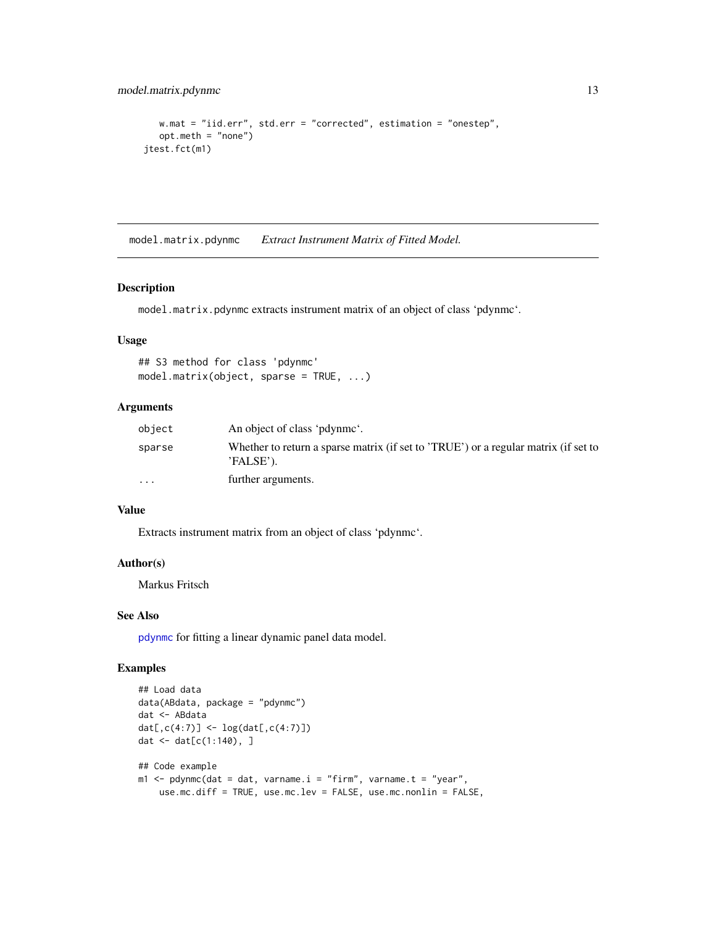```
w.mat = "iid.err", std.err = "corrected", estimation = "onestep",
   opt.meth = "none")
jtest.fct(m1)
```
model.matrix.pdynmc *Extract Instrument Matrix of Fitted Model.*

#### Description

model.matrix.pdynmc extracts instrument matrix of an object of class 'pdynmc'.

# Usage

```
## S3 method for class 'pdynmc'
model.matrix(object, sparse = TRUE, ...)
```
#### Arguments

| object   | An object of class 'pdynme'.                                                                     |
|----------|--------------------------------------------------------------------------------------------------|
| sparse   | Whether to return a sparse matrix (if set to 'TRUE') or a regular matrix (if set to<br>'FALSE'). |
| $\cdots$ | further arguments.                                                                               |

# Value

Extracts instrument matrix from an object of class 'pdynmc'.

#### Author(s)

Markus Fritsch

# See Also

[pdynmc](#page-21-1) for fitting a linear dynamic panel data model.

```
## Load data
data(ABdata, package = "pdynmc")
dat <- ABdata
dat[,c(4:7)] <- log(dat[,c(4:7)])
dat <- dat[c(1:140), ]
## Code example
m1 <- pdynmc(dat = dat, varname.i = "firm", varname.t = "year",
   use.mc.diff = TRUE, use.mc.lev = FALSE, use.mc.nonlin = FALSE,
```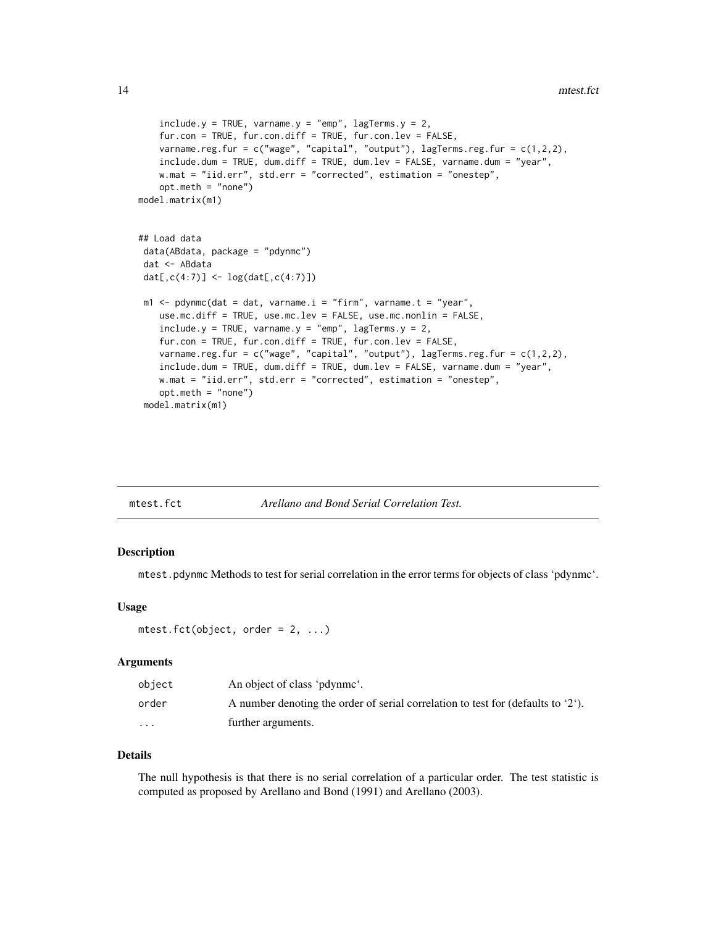```
include.y = TRUE, varname.y = "emp", lagTerms.y = 2,fur.con = TRUE, fur.con.diff = TRUE, fur.con.lev = FALSE,
   varname.reg.fur = c("wage", "capital", "output"), lagTerms.reg.fur = c(1,2,2),
   include.dum = TRUE, dum.diff = TRUE, dum.lev = FALSE, varname.dum = "year",
   w.mat = "iid.err", std.err = "corrected", estimation = "onestep",
   opt.meth = "none")
model.matrix(m1)
## Load data
data(ABdata, package = "pdynmc")
dat <- ABdata
dat[,c(4:7)] <- log(dat[,c(4:7)])
m1 <- pdynmc(dat = dat, varname.i = "firm", varname.t = "year",
   use.mc.diff = TRUE, use.mc.lev = FALSE, use.mc.nonlin = FALSE,
   include.y = TRUE, varname.y = "emp", lagTerms.y = 2,fur.con = TRUE, fur.con.diff = TRUE, fur.con.lev = FALSE,
   varname.reg.fur = c("wage", "capital", "output"), lagTerms.reg.fur = c(1,2,2),
   include.dum = TRUE, dum.diff = TRUE, dum.lev = FALSE, varname.dum = "year",
   w.mat = "iid.err", std.err = "corrected", estimation = "onestep",
   opt.meth = "none")
model.matrix(m1)
```
<span id="page-13-1"></span>

| mtest.fct |  |
|-----------|--|

## Arellano and Bond Serial Correlation Test.

#### Description

mtest.pdynmc Methods to test for serial correlation in the error terms for objects of class 'pdynmc'.

#### Usage

```
mtest.fct(object, order = 2, ...)
```
#### Arguments

| object  | An object of class 'pdynme'.                                                              |
|---------|-------------------------------------------------------------------------------------------|
| order   | A number denoting the order of serial correlation to test for (defaults to $2^{\circ}$ ). |
| $\cdot$ | further arguments.                                                                        |

#### Details

The null hypothesis is that there is no serial correlation of a particular order. The test statistic is computed as proposed by Arellano and Bond (1991) and Arellano (2003).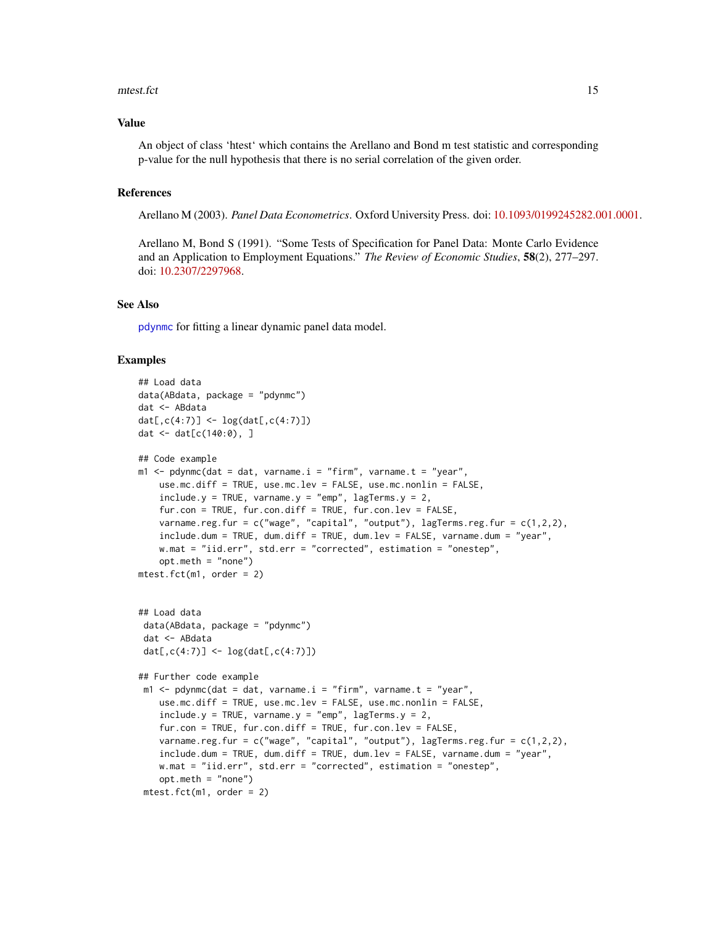#### <span id="page-14-0"></span>mtest.fct 15

#### Value

An object of class 'htest' which contains the Arellano and Bond m test statistic and corresponding p-value for the null hypothesis that there is no serial correlation of the given order.

#### References

Arellano M (2003). *Panel Data Econometrics*. Oxford University Press. doi: [10.1093/0199245282.001.0001.](https://doi.org/10.1093/0199245282.001.0001)

Arellano M, Bond S (1991). "Some Tests of Specification for Panel Data: Monte Carlo Evidence and an Application to Employment Equations." *The Review of Economic Studies*, 58(2), 277–297. doi: [10.2307/2297968.](https://doi.org/10.2307/2297968)

# See Also

[pdynmc](#page-21-1) for fitting a linear dynamic panel data model.

```
## Load data
data(ABdata, package = "pdynmc")
dat <- ABdata
dat[,c(4:7)] <- log(data[, c(4:7)]dat <- dat[c(140:0), ]
## Code example
m1 \leq pdynmc(dat = dat, varname.i = "firm", varname.t = "year",
   use.mc.diff = TRUE, use.mc.lev = FALSE, use.mc.nonlin = FALSE,
    include.y = TRUE, varname.y = "emp", lagTerms.y = 2,
    fur.con = TRUE, fur.con.diff = TRUE, fur.con.lev = FALSE,
    varname.reg.fur = c("wage", "capital", "output"), lagTerms.reg.fur = <math>c(1,2,2)</math>,include.dum = TRUE, dum.diff = TRUE, dum.lev = FALSE, varname.dum = "year",
   w.mat = "iid.err", std.err = "corrected", estimation = "onestep",
    opt.meth = "none")
mtest.fct(m1, order = 2)
## Load data
 data(ABdata, package = "pdynmc")
 dat <- ABdata
 dat[,c(4:7)] <- log(data[, c(4:7)])## Further code example
 m1 <- pdynmc(dat = dat, varname.i = "firm", varname.t = "year",
    use.mc.diff = TRUE, use.mc.lev = FALSE, use.mc.nonlin = FALSE,
    include.y = TRUE, varname.y = "emp", lagTerms.y = 2,fur.con = TRUE, fur.con.diff = TRUE, fur.con.lev = FALSE,
    varname.reg.fur = c("wage", "capital", "output"), lagTerms.reg.fur = c(1,2,2),
    include.dum = TRUE, dum.diff = TRUE, dum.lev = FALSE, varname.dum = "year",
    w.mat = "iid.err", std.err = "corrected", estimation = "onestep",
    opt.meth = "none")
 mtest.fct(m1, order = 2)
```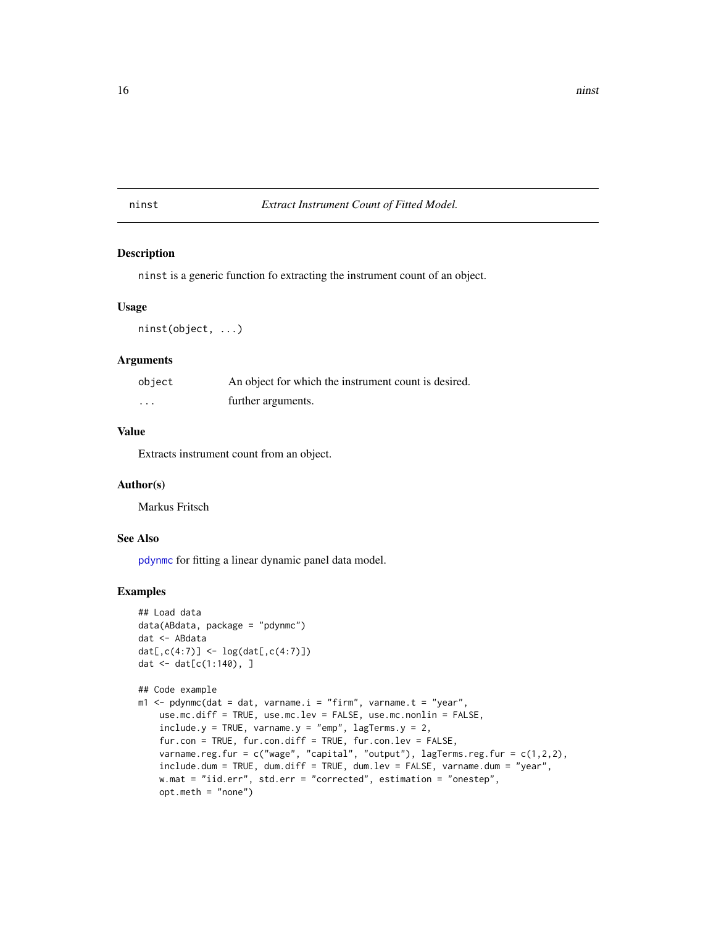# <span id="page-15-0"></span>ninst *Extract Instrument Count of Fitted Model.*

#### Description

ninst is a generic function fo extracting the instrument count of an object.

#### Usage

```
ninst(object, ...)
```
#### Arguments

| object   | An object for which the instrument count is desired. |
|----------|------------------------------------------------------|
| $\cdots$ | further arguments.                                   |

# Value

Extracts instrument count from an object.

#### Author(s)

Markus Fritsch

#### See Also

[pdynmc](#page-21-1) for fitting a linear dynamic panel data model.

```
## Load data
data(ABdata, package = "pdynmc")
dat <- ABdata
dat[,c(4:7)] <- log(data[, c(4:7)]dat <- dat[c(1:140), ]
```

```
## Code example
m1 \leq - pdynmc(dat = dat, varname.i = "firm", varname.t = "year",
   use.mc.diff = TRUE, use.mc.lev = FALSE, use.mc.nonlin = FALSE,
   include.y = TRUE, varname.y = "emp", lagTerms.y = 2,fur.con = TRUE, fur.con.diff = TRUE, fur.con.lev = FALSE,
   varname.reg.fur = c("wage", "capital", "output"), lagTerms.reg.fur = c(1,2,2),
   include.dum = TRUE, dum.diff = TRUE, dum.lev = FALSE, varname.dum = "year",
   w.mat = "iid.err", std.err = "corrected", estimation = "onestep",
   opt.meth = "none")
```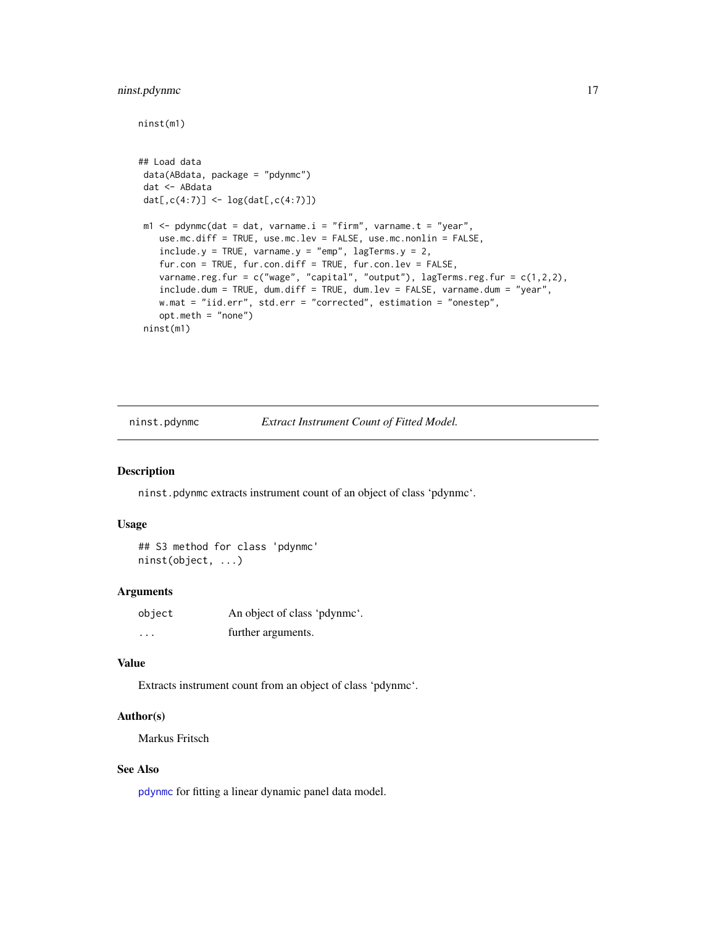# <span id="page-16-0"></span>ninst.pdynmc 17

```
ninst(m1)
## Load data
data(ABdata, package = "pdynmc")
dat <- ABdata
dat[,c(4:7)] <- log(data[, c(4:7)]m1 \leq -\text{pdynmc}(dat = dat, varname.i = "firm", varname.t = "year",use.mc.diff = TRUE, use.mc.lev = FALSE, use.mc.nonlin = FALSE,
   include.y = TRUE, varname.y = "emp", lagTerms.y = 2,fur.con = TRUE, fur.con.diff = TRUE, fur.con.lev = FALSE,
   varname.reg.fur = c("wage", "capital", "output"), lagTerms.reg.fur = c(1,2,2),
    include.dum = TRUE, dum.diff = TRUE, dum.lev = FALSE, varname.dum = "year",
   w.mat = "iid.err", std.err = "corrected", estimation = "onestep",
   opt.meth = "none")
ninst(m1)
```
ninst.pdynmc *Extract Instrument Count of Fitted Model.*

#### Description

ninst.pdynmc extracts instrument count of an object of class 'pdynmc'.

#### Usage

```
## S3 method for class 'pdynmc'
ninst(object, ...)
```
#### Arguments

| object   | An object of class 'pdynme'. |
|----------|------------------------------|
| $\cdots$ | further arguments.           |

#### Value

Extracts instrument count from an object of class 'pdynmc'.

#### Author(s)

Markus Fritsch

# See Also

[pdynmc](#page-21-1) for fitting a linear dynamic panel data model.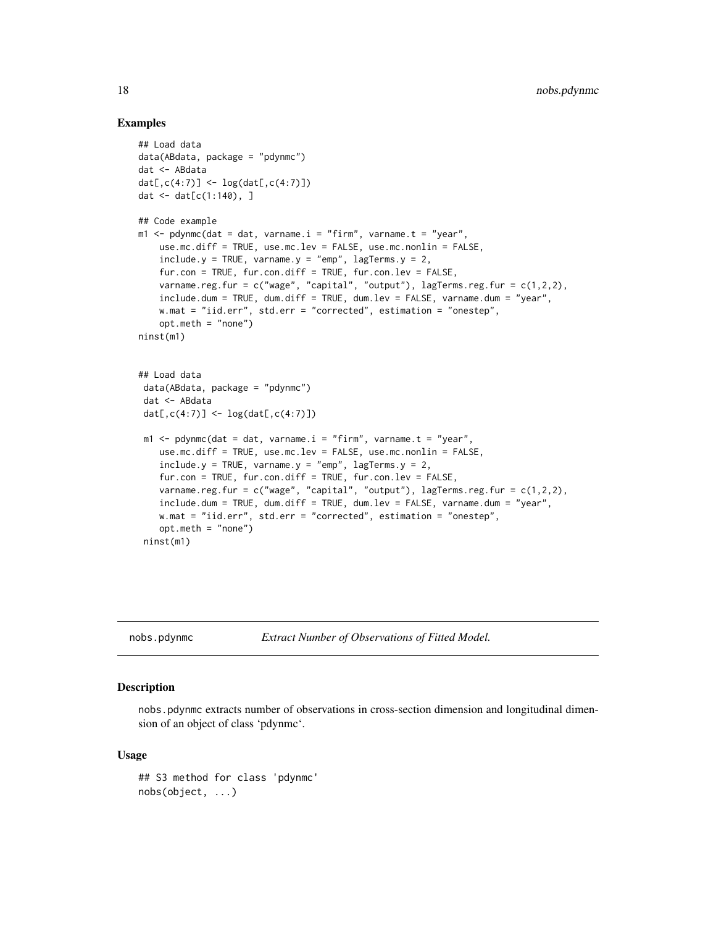#### Examples

```
## Load data
data(ABdata, package = "pdynmc")
dat <- ABdata
dat[,c(4:7)] <- log(data[, c(4:7)]dat <- dat[c(1:140), ]
## Code example
m1 < - pdynmc(dat = dat, varname.i = "firm", varname.t = "year",
    use.mc.diff = TRUE, use.mc.lev = FALSE, use.mc.nonlin = FALSE,
    include.y = TRUE, varname.y = "emp", lagTerms.y = 2,fur.con = TRUE, fur.con.diff = TRUE, fur.con.lev = FALSE,
   varname.reg.fur = c("wage", "capital", "output"), lagTerms.reg.fur = c(1,2,2),
    include.dum = TRUE, dum.diff = TRUE, dum.lev = FALSE, varname.dum = "year",
   w.mat = "iid.err", std.err = "corrected", estimation = "onestep",
    opt.meth = "none")
ninst(m1)
## Load data
 data(ABdata, package = "pdynmc")
 dat <- ABdata
 dat[0, c(4:7)] <- log(data[, c(4:7)]m1 < - pdynmc(dat = dat, varname.i = "firm", varname.t = "year",
    use.mc.diff = TRUE, use.mc.lev = FALSE, use.mc.nonlin = FALSE,
    include.y = TRUE, varname.y = "emp", lagTerms.y = 2,fur.con = TRUE, fur.con.diff = TRUE, fur.con.lev = FALSE,
    varname.reg.fur = c("wage", "capital", "output"), lagTerms.reg.frur = <math>c(1,2,2)</math>,include.dum = TRUE, dum.diff = TRUE, dum.lev = FALSE, varname.dum = "year",
   w.mat = "iid.err", std.err = "corrected", estimation = "onestep",
    opt.meth = "none")
 ninst(m1)
```
nobs.pdynmc *Extract Number of Observations of Fitted Model.*

#### Description

nobs.pdynmc extracts number of observations in cross-section dimension and longitudinal dimension of an object of class 'pdynmc'.

#### Usage

```
## S3 method for class 'pdynmc'
nobs(object, ...)
```
<span id="page-17-0"></span>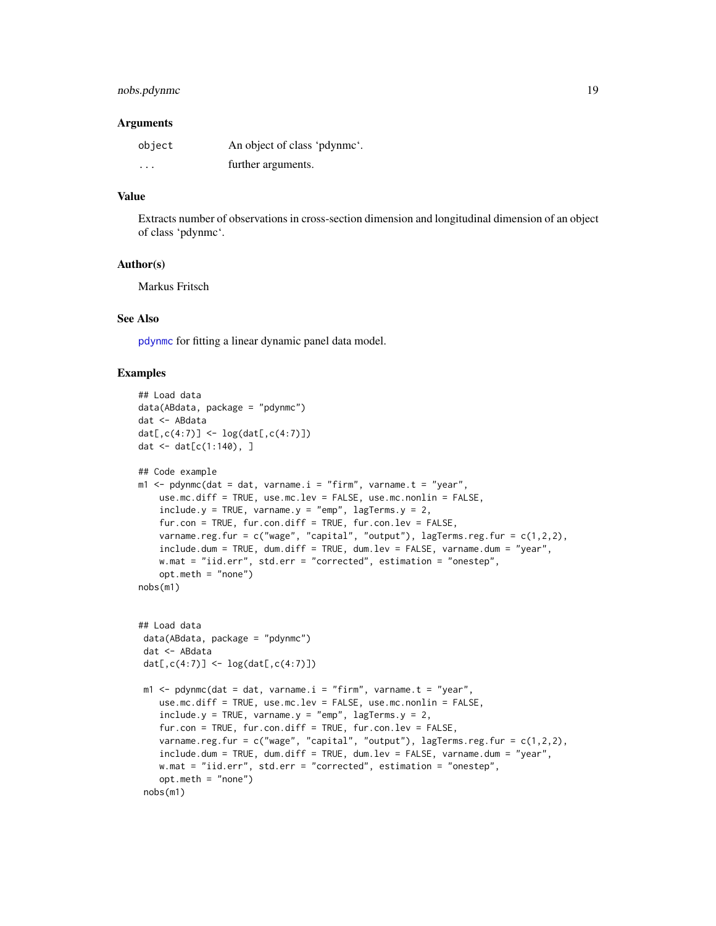# <span id="page-18-0"></span>nobs.pdynmc 19

#### Arguments

| object  | An object of class 'pdynmc'. |
|---------|------------------------------|
| $\cdot$ | further arguments.           |

# Value

Extracts number of observations in cross-section dimension and longitudinal dimension of an object of class 'pdynmc'.

#### Author(s)

Markus Fritsch

#### See Also

[pdynmc](#page-21-1) for fitting a linear dynamic panel data model.

```
## Load data
data(ABdata, package = "pdynmc")
dat <- ABdata
dat[,c(4:7)] <- log(data[, c(4:7)]dat <- dat[c(1:140), ]
## Code example
m1 <- pdynmc(dat = dat, varname.i = "firm", varname.t = "year",
   use.mc.diff = TRUE, use.mc.lev = FALSE, use.mc.nonlin = FALSE,
    include.y = TRUE, varname.y = "emp", lagTerms.y = 2,fur.con = TRUE, fur.con.diff = TRUE, fur.con.lev = FALSE,
    varname.reg.fur = c("wage", "capital", "output"), lagTerms.reg.fur = <math>c(1,2,2)</math>,include.dum = TRUE, dum.diff = TRUE, dum.lev = FALSE, varname.dum = "year",
   w.mat = "iid.err", std.err = "corrected", estimation = "onestep",
    opt.meth = "none")
nobs(m1)
## Load data
 data(ABdata, package = "pdynmc")
 dat <- ABdata
 dat[,c(4:7)] <- log(data[, c(4:7)]m1 <- pdynmc(dat = dat, varname.i = "firm", varname.t = "year",
    use.mc.diff = TRUE, use.mc.lev = FALSE, use.mc.nonlin = FALSE,
    include.y = TRUE, varname.y = "emp", lagTerms.y = 2,fur.con = TRUE, fur.con.diff = TRUE, fur.con.lev = FALSE,
    varname.reg.fur = c("wage", "capital", "output"), lagTerms.reg.fur = c(1,2,2),
    include.dum = TRUE, dum.diff = TRUE, dum.lev = FALSE, varname.dum = "year",
   w.mat = "iid.err", std.err = "corrected", estimation = "onestep",
    opt.meth = "none")
 nobs(m1)
```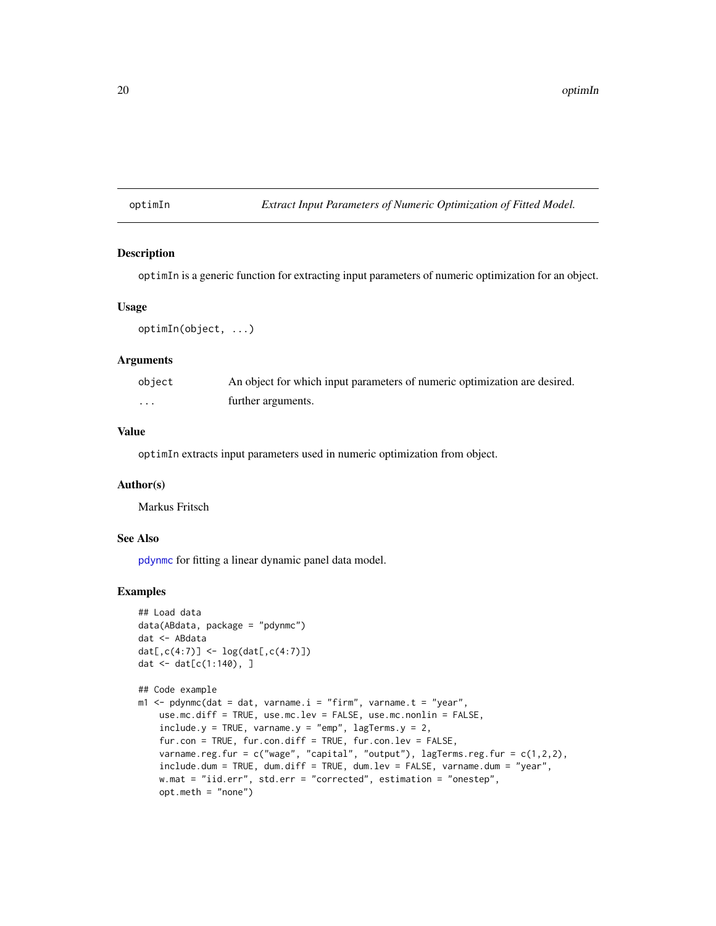# <span id="page-19-0"></span>optimIn *Extract Input Parameters of Numeric Optimization of Fitted Model.*

#### Description

optimIn is a generic function for extracting input parameters of numeric optimization for an object.

#### Usage

optimIn(object, ...)

#### Arguments

| object | An object for which input parameters of numeric optimization are desired. |
|--------|---------------------------------------------------------------------------|
| .      | further arguments.                                                        |

# Value

optimIn extracts input parameters used in numeric optimization from object.

#### Author(s)

Markus Fritsch

#### See Also

[pdynmc](#page-21-1) for fitting a linear dynamic panel data model.

```
## Load data
data(ABdata, package = "pdynmc")
dat <- ABdata
dat[,c(4:7)] <- log(data[, c(4:7)]dat <- dat[c(1:140), ]
```

```
## Code example
m1 \leq - pdynmc(dat = dat, varname.i = "firm", varname.t = "year",
   use.mc.diff = TRUE, use.mc.lev = FALSE, use.mc.nonlin = FALSE,
   include.y = TRUE, varname.y = "emp", lagTerms.y = 2,fur.con = TRUE, fur.con.diff = TRUE, fur.con.lev = FALSE,
   varname.reg.fur = c("wage", "capital", "output"), lagTerms.reg.fur = c(1,2,2),
   include.dum = TRUE, dum.diff = TRUE, dum.lev = FALSE, varname.dum = "year",
   w.mat = "iid.err", std.err = "corrected", estimation = "onestep",
   opt.meth = "none")
```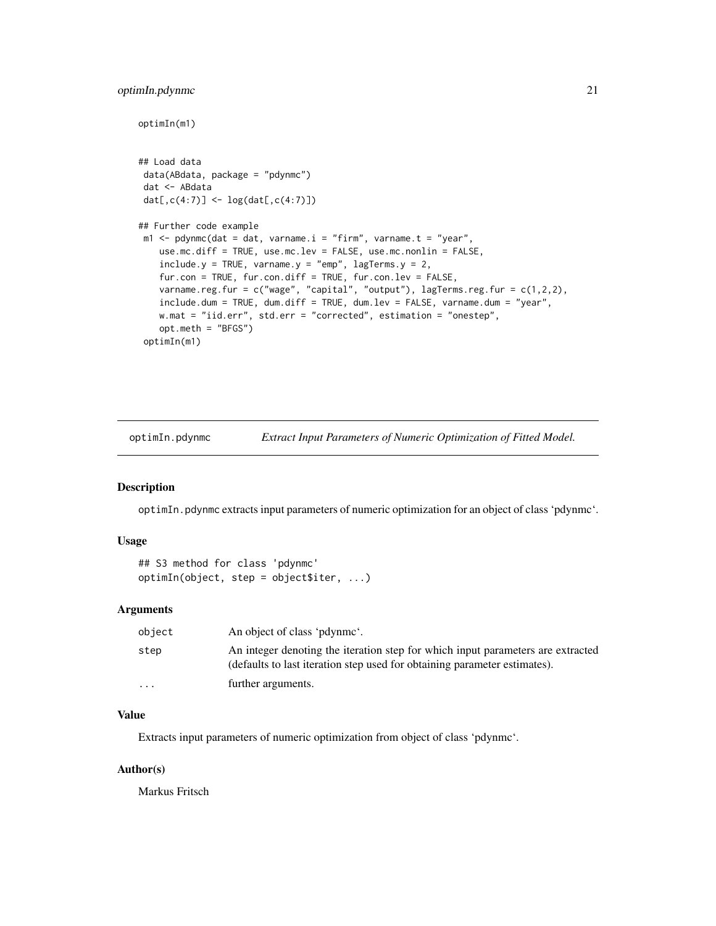# <span id="page-20-0"></span>optimIn.pdynmc 21

optimIn(m1)

```
## Load data
data(ABdata, package = "pdynmc")
dat <- ABdata
dat[,c(4:7)] <- log(data[, c(4:7)]## Further code example
m1 <- pdynmc(dat = dat, varname.i = "firm", varname.t = "year",
   use.mc.diff = TRUE, use.mc.lev = FALSE, use.mc.nonlin = FALSE,
   include.y = TRUE, varname.y = "emp", lagTerms.y = 2,fur.con = TRUE, fur.con.diff = TRUE, fur.con.lev = FALSE,
   varname.reg.fur = c("wage", "capital", "output"), lagTerms.reg.fur = c(1,2,2),
   include.dum = TRUE, dum.diff = TRUE, dum.lev = FALSE, varname.dum = "year",
   w.mat = "iid.err", std.err = "corrected", estimation = "onestep",
   opt.meth = "BFGS")
 optimIn(m1)
```
optimIn.pdynmc *Extract Input Parameters of Numeric Optimization of Fitted Model.*

#### Description

optimIn.pdynmc extracts input parameters of numeric optimization for an object of class 'pdynmc'.

# Usage

```
## S3 method for class 'pdynmc'
optimIn(object, step = object$iter, ...)
```
# Arguments

| object                  | An object of class 'pdynme'.                                                                                                                                 |
|-------------------------|--------------------------------------------------------------------------------------------------------------------------------------------------------------|
| step                    | An integer denoting the iteration step for which input parameters are extracted<br>(defaults to last iteration step used for obtaining parameter estimates). |
| $\cdot$ $\cdot$ $\cdot$ | further arguments.                                                                                                                                           |

# Value

Extracts input parameters of numeric optimization from object of class 'pdynmc'.

#### Author(s)

Markus Fritsch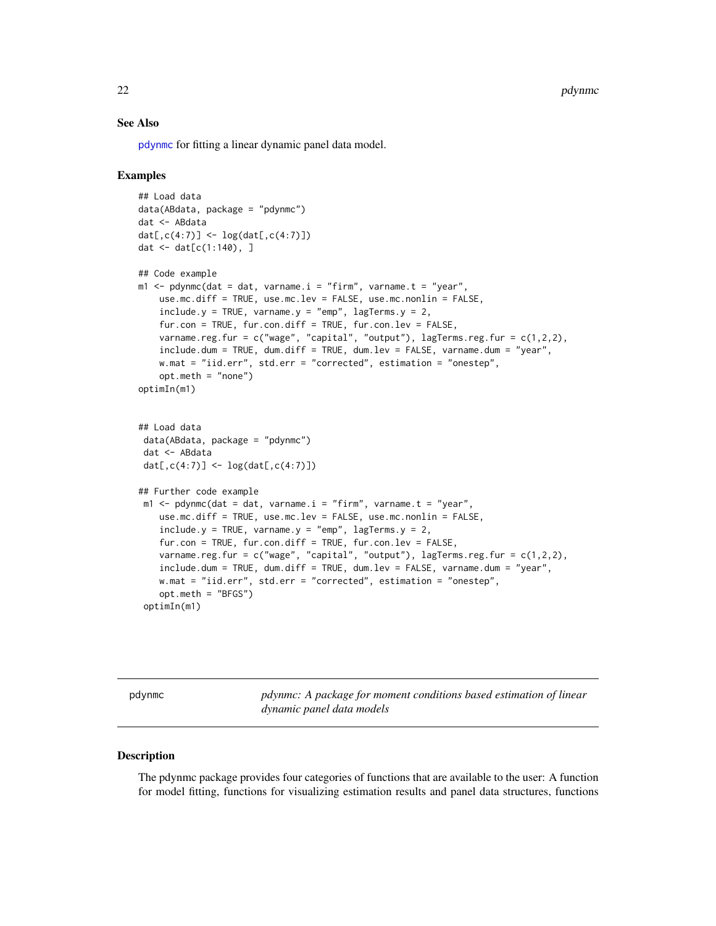<span id="page-21-0"></span>22 pdynmc

#### See Also

[pdynmc](#page-21-1) for fitting a linear dynamic panel data model.

#### Examples

```
## Load data
data(ABdata, package = "pdynmc")
dat <- ABdata
dat[,c(4:7)] <- log(data[, c(4:7)]dat \le - dat[c(1:140), ]## Code example
m1 < - pdynmc(dat = dat, varname.i = "firm", varname.t = "year",
    use.mc.diff = TRUE, use.mc.lev = FALSE, use.mc.nonlin = FALSE,
    include.y = TRUE, varname.y = "emp", lagTerms.y = 2,
    fur.con = TRUE, fur.con.diff = TRUE, fur.con.lev = FALSE,
    varname.reg.fur = c("wage", "capital", "output"), lagTerms.reg.fur = c(1,2,2),
    include.dum = TRUE, dum.diff = TRUE, dum.lev = FALSE, varname.dum = "year",
   w.mat = "iid.err", std.err = "corrected", estimation = "onestep",
    opt.meth = "none")
optimIn(m1)
## Load data
 data(ABdata, package = "pdynmc")
 dat <- ABdata
 dat[,c(4:7)] <- log(data[, c(4:7)]## Further code example
 m1 <- pdynmc(dat = dat, varname.i = "firm", varname.t = "year",
   use.mc.diff = TRUE, use.mc.lev = FALSE, use.mc.nonlin = FALSE,
    include.y = TRUE, varname.y = "emp", lagTerms.y = 2,fur.con = TRUE, fur.con.diff = TRUE, fur.con.lev = FALSE,
    varname.reg.fur = c("wage", "capital", "output"), lagTerms.reg.fur = c(1,2,2),
    include.dum = TRUE, dum.diff = TRUE, dum.lev = FALSE, varname.dum = "year",
    w.mat = "iid.err", std.err = "corrected", estimation = "onestep",
    opt.meth = "BFGS")
 optimIn(m1)
```
<span id="page-21-1"></span>pdynmc *pdynmc: A package for moment conditions based estimation of linear dynamic panel data models*

#### Description

The pdynmc package provides four categories of functions that are available to the user: A function for model fitting, functions for visualizing estimation results and panel data structures, functions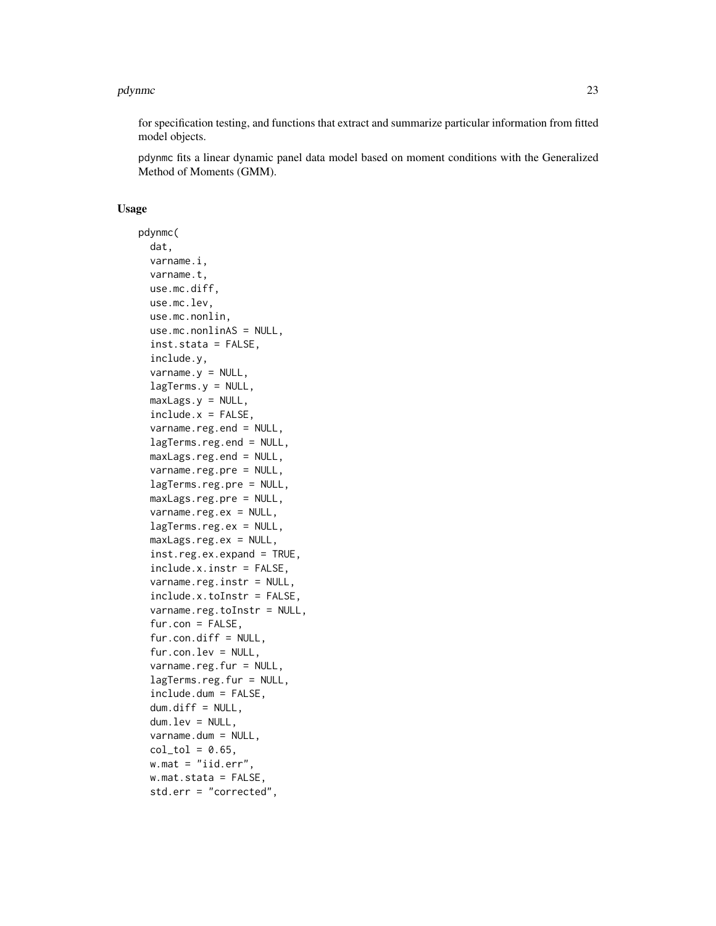#### pdynmc 23

for specification testing, and functions that extract and summarize particular information from fitted model objects.

pdynmc fits a linear dynamic panel data model based on moment conditions with the Generalized Method of Moments (GMM).

# Usage

pdynmc( dat, varname.i, varname.t, use.mc.diff, use.mc.lev, use.mc.nonlin, use.mc.nonlinAS = NULL, inst.stata = FALSE, include.y,  $varname.y = NULL,$ lagTerms.y = NULL, maxLags.y = NULL,  $include.x = FALSE,$ varname.reg.end = NULL, lagTerms.reg.end = NULL, maxLags.reg.end = NULL, varname.reg.pre = NULL, lagTerms.reg.pre = NULL, maxLags.reg.pre = NULL, varname.reg.ex = NULL, lagTerms.reg.ex = NULL, maxLags.reg.ex = NULL, inst.reg.ex.expand = TRUE, include.x.instr = FALSE, varname.reg.instr = NULL, include.x.toInstr = FALSE, varname.reg.toInstr = NULL, fur.con = FALSE,  $fur.com.diff = NULL,$ fur.con.lev = NULL, varname.reg.fur = NULL, lagTerms.reg.fur = NULL, include.dum = FALSE, dum.diff = NULL, dum.lev = NULL, varname.dum = NULL,  $col\_tol = 0.65$ ,  $w.math = "iid_error",$ w.mat.stata = FALSE, std.err = "corrected",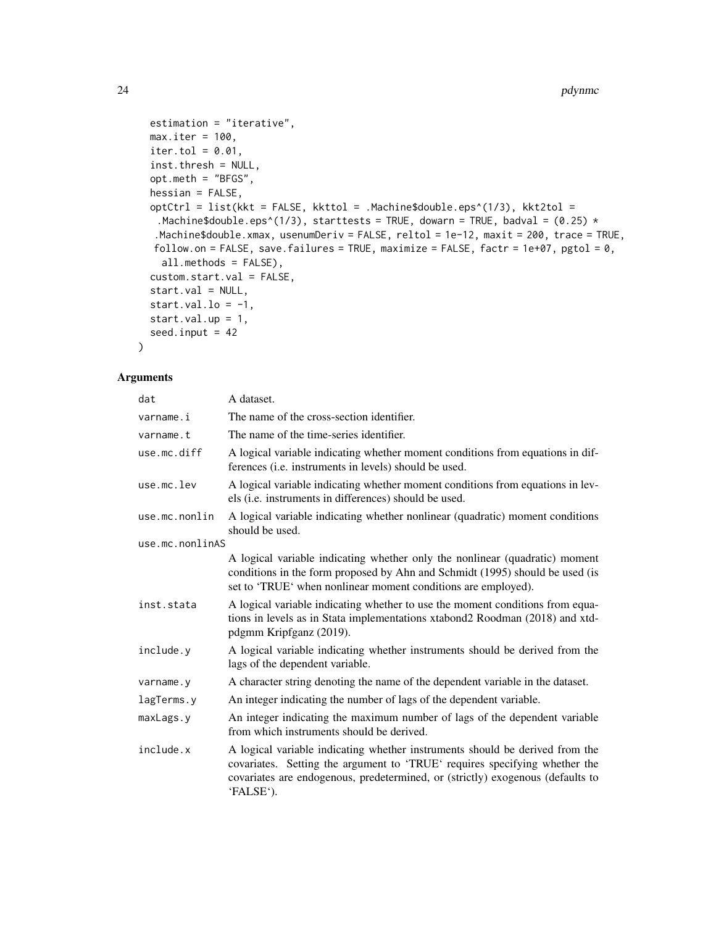```
estimation = "iterative",
 max.iter = 100,iter.tol = 0.01,inst.thresh = NULL,
  opt.meth = "BFGS",
  hessian = FALSE,
  optCtrl = list(kkt = FALSE, kkttol = .Machine$double.eps^(1/3), kkt2tol =
   .Machine$double.eps^(1/3), starttests = TRUE, dowarn = TRUE, badval = (0.25) *
  .Machine$double.xmax, usenumDeriv = FALSE, reltol = 1e-12, maxit = 200, trace = TRUE,
  follow.on = FALSE, save.failures = TRUE, maximize = FALSE, factr = 1e+07, pgtol = 0,
    all.methods = FALSE),
  custom.start.val = FALSE,
  start.val = NULL,
  start.val.lo = -1,
  start.val.up = 1,
  seed.input = 42\mathcal{L}
```
# Arguments

| dat             | A dataset.                                                                                                                                                                                                                                                |
|-----------------|-----------------------------------------------------------------------------------------------------------------------------------------------------------------------------------------------------------------------------------------------------------|
| varname.i       | The name of the cross-section identifier.                                                                                                                                                                                                                 |
| varname.t       | The name of the time-series identifier.                                                                                                                                                                                                                   |
| use.mc.diff     | A logical variable indicating whether moment conditions from equations in dif-<br>ferences (i.e. instruments in levels) should be used.                                                                                                                   |
| use.mc.lev      | A logical variable indicating whether moment conditions from equations in lev-<br>els (i.e. instruments in differences) should be used.                                                                                                                   |
| use.mc.nonlin   | A logical variable indicating whether nonlinear (quadratic) moment conditions<br>should be used.                                                                                                                                                          |
| use.mc.nonlinAS |                                                                                                                                                                                                                                                           |
|                 | A logical variable indicating whether only the nonlinear (quadratic) moment<br>conditions in the form proposed by Ahn and Schmidt (1995) should be used (is<br>set to 'TRUE' when nonlinear moment conditions are employed).                              |
| inst.stata      | A logical variable indicating whether to use the moment conditions from equa-<br>tions in levels as in Stata implementations xtabond2 Roodman (2018) and xtd-<br>pdgmm Kripfganz (2019).                                                                  |
| include.y       | A logical variable indicating whether instruments should be derived from the<br>lags of the dependent variable.                                                                                                                                           |
| varname.y       | A character string denoting the name of the dependent variable in the dataset.                                                                                                                                                                            |
| lagTerms.y      | An integer indicating the number of lags of the dependent variable.                                                                                                                                                                                       |
| maxLags.y       | An integer indicating the maximum number of lags of the dependent variable<br>from which instruments should be derived.                                                                                                                                   |
| include.x       | A logical variable indicating whether instruments should be derived from the<br>covariates. Setting the argument to 'TRUE' requires specifying whether the<br>covariates are endogenous, predetermined, or (strictly) exogenous (defaults to<br>'FALSE'). |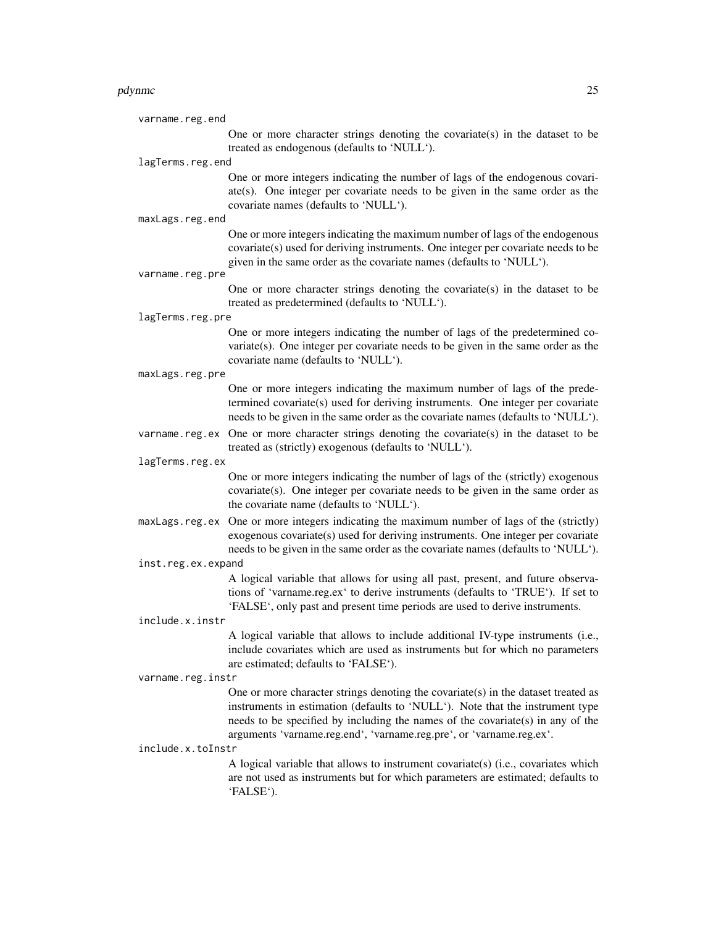#### pdynmc 25

|                  | varname.reg.end    |                                                                                                                                                                                                                                                                                                                              |
|------------------|--------------------|------------------------------------------------------------------------------------------------------------------------------------------------------------------------------------------------------------------------------------------------------------------------------------------------------------------------------|
|                  |                    | One or more character strings denoting the covariate(s) in the dataset to be<br>treated as endogenous (defaults to 'NULL').                                                                                                                                                                                                  |
| lagTerms.reg.end |                    |                                                                                                                                                                                                                                                                                                                              |
|                  |                    | One or more integers indicating the number of lags of the endogenous covari-<br>$ate(s)$ . One integer per covariate needs to be given in the same order as the<br>covariate names (defaults to 'NULL').                                                                                                                     |
|                  | maxLags.reg.end    |                                                                                                                                                                                                                                                                                                                              |
|                  |                    | One or more integers indicating the maximum number of lags of the endogenous<br>covariate(s) used for deriving instruments. One integer per covariate needs to be<br>given in the same order as the covariate names (defaults to 'NULL').                                                                                    |
|                  | varname.reg.pre    |                                                                                                                                                                                                                                                                                                                              |
|                  |                    | One or more character strings denoting the covariate(s) in the dataset to be<br>treated as predetermined (defaults to 'NULL').                                                                                                                                                                                               |
|                  | lagTerms.reg.pre   |                                                                                                                                                                                                                                                                                                                              |
|                  |                    | One or more integers indicating the number of lags of the predetermined co-<br>$variate(s)$ . One integer per covariate needs to be given in the same order as the<br>covariate name (defaults to 'NULL').                                                                                                                   |
|                  | maxLags.reg.pre    |                                                                                                                                                                                                                                                                                                                              |
|                  |                    | One or more integers indicating the maximum number of lags of the prede-<br>termined covariate(s) used for deriving instruments. One integer per covariate<br>needs to be given in the same order as the covariate names (defaults to 'NULL').                                                                               |
|                  |                    | varname.reg.ex One or more character strings denoting the covariate(s) in the dataset to be<br>treated as (strictly) exogenous (defaults to 'NULL').                                                                                                                                                                         |
|                  | lagTerms.reg.ex    |                                                                                                                                                                                                                                                                                                                              |
|                  |                    | One or more integers indicating the number of lags of the (strictly) exogenous<br>covariate(s). One integer per covariate needs to be given in the same order as<br>the covariate name (defaults to 'NULL').                                                                                                                 |
|                  | maxLags.reg.ex     | One or more integers indicating the maximum number of lags of the (strictly)<br>exogenous covariate(s) used for deriving instruments. One integer per covariate<br>needs to be given in the same order as the covariate names (defaults to 'NULL').                                                                          |
|                  | inst.reg.ex.expand |                                                                                                                                                                                                                                                                                                                              |
|                  |                    | A logical variable that allows for using all past, present, and future observa-<br>tions of 'varname.reg.ex' to derive instruments (defaults to 'TRUE'). If set to<br>'FALSE', only past and present time periods are used to derive instruments.                                                                            |
|                  | include.x.instr    |                                                                                                                                                                                                                                                                                                                              |
|                  |                    | A logical variable that allows to include additional IV-type instruments (i.e.,<br>include covariates which are used as instruments but for which no parameters<br>are estimated; defaults to 'FALSE').                                                                                                                      |
|                  | varname.reg.instr  |                                                                                                                                                                                                                                                                                                                              |
|                  |                    | One or more character strings denoting the covariate(s) in the dataset treated as<br>instruments in estimation (defaults to 'NULL'). Note that the instrument type<br>needs to be specified by including the names of the covariate(s) in any of the<br>arguments 'varname.reg.end', 'varname.reg.pre', or 'varname.reg.ex'. |
|                  | include.x.toInstr  |                                                                                                                                                                                                                                                                                                                              |
|                  |                    | A logical variable that allows to instrument covariate(s) (i.e., covariates which<br>are not used as instruments but for which parameters are estimated; defaults to<br>'FALSE').                                                                                                                                            |
|                  |                    |                                                                                                                                                                                                                                                                                                                              |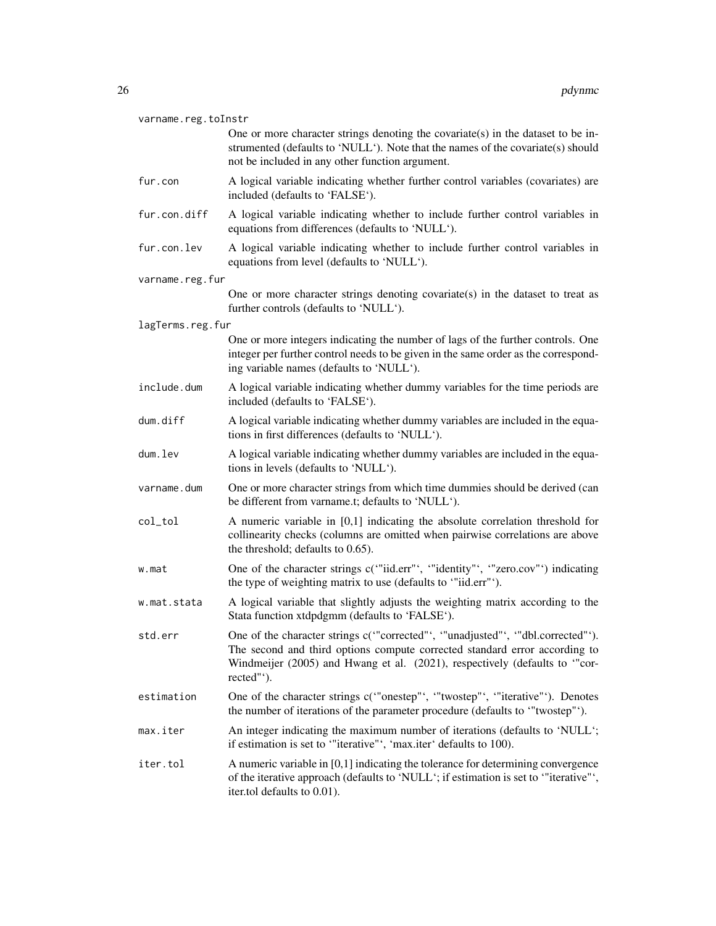| varname.reg.toInstr |                                                                                                                                                                                                                                                          |  |
|---------------------|----------------------------------------------------------------------------------------------------------------------------------------------------------------------------------------------------------------------------------------------------------|--|
|                     | One or more character strings denoting the covariate(s) in the dataset to be in-<br>strumented (defaults to 'NULL'). Note that the names of the covariate(s) should<br>not be included in any other function argument.                                   |  |
| fur.con             | A logical variable indicating whether further control variables (covariates) are<br>included (defaults to 'FALSE').                                                                                                                                      |  |
| fur.con.diff        | A logical variable indicating whether to include further control variables in<br>equations from differences (defaults to 'NULL').                                                                                                                        |  |
| fur.con.lev         | A logical variable indicating whether to include further control variables in<br>equations from level (defaults to 'NULL').                                                                                                                              |  |
| varname.reg.fur     |                                                                                                                                                                                                                                                          |  |
|                     | One or more character strings denoting covariate(s) in the dataset to treat as<br>further controls (defaults to 'NULL').                                                                                                                                 |  |
| lagTerms.reg.fur    |                                                                                                                                                                                                                                                          |  |
|                     | One or more integers indicating the number of lags of the further controls. One<br>integer per further control needs to be given in the same order as the correspond-<br>ing variable names (defaults to 'NULL').                                        |  |
| include.dum         | A logical variable indicating whether dummy variables for the time periods are<br>included (defaults to 'FALSE').                                                                                                                                        |  |
| dum.diff            | A logical variable indicating whether dummy variables are included in the equa-<br>tions in first differences (defaults to 'NULL').                                                                                                                      |  |
| dum.lev             | A logical variable indicating whether dummy variables are included in the equa-<br>tions in levels (defaults to 'NULL').                                                                                                                                 |  |
| varname.dum         | One or more character strings from which time dummies should be derived (can<br>be different from varname.t; defaults to 'NULL').                                                                                                                        |  |
| col_tol             | A numeric variable in $[0,1]$ indicating the absolute correlation threshold for<br>collinearity checks (columns are omitted when pairwise correlations are above<br>the threshold; defaults to 0.65).                                                    |  |
| w.mat               | One of the character strings c("iid.err", "identity", "zero.cov"') indicating<br>the type of weighting matrix to use (defaults to "'iid.err"').                                                                                                          |  |
| w.mat.stata         | A logical variable that slightly adjusts the weighting matrix according to the<br>Stata function xtdpdgmm (defaults to 'FALSE').                                                                                                                         |  |
| std.err             | One of the character strings c("corrected"', "unadjusted"', "dbl.corrected"').<br>The second and third options compute corrected standard error according to<br>Windmeijer (2005) and Hwang et al. (2021), respectively (defaults to "cor-<br>rected"'). |  |
| estimation          | One of the character strings c("onestep"', "'twostep"', "'iterative"'). Denotes<br>the number of iterations of the parameter procedure (defaults to "twostep"').                                                                                         |  |
| max.iter            | An integer indicating the maximum number of iterations (defaults to 'NULL';<br>if estimation is set to "iterative", 'max.iter' defaults to 100).                                                                                                         |  |
| iter.tol            | A numeric variable in $[0,1]$ indicating the tolerance for determining convergence<br>of the iterative approach (defaults to 'NULL'; if estimation is set to '"iterative"',<br>iter.tol defaults to 0.01).                                               |  |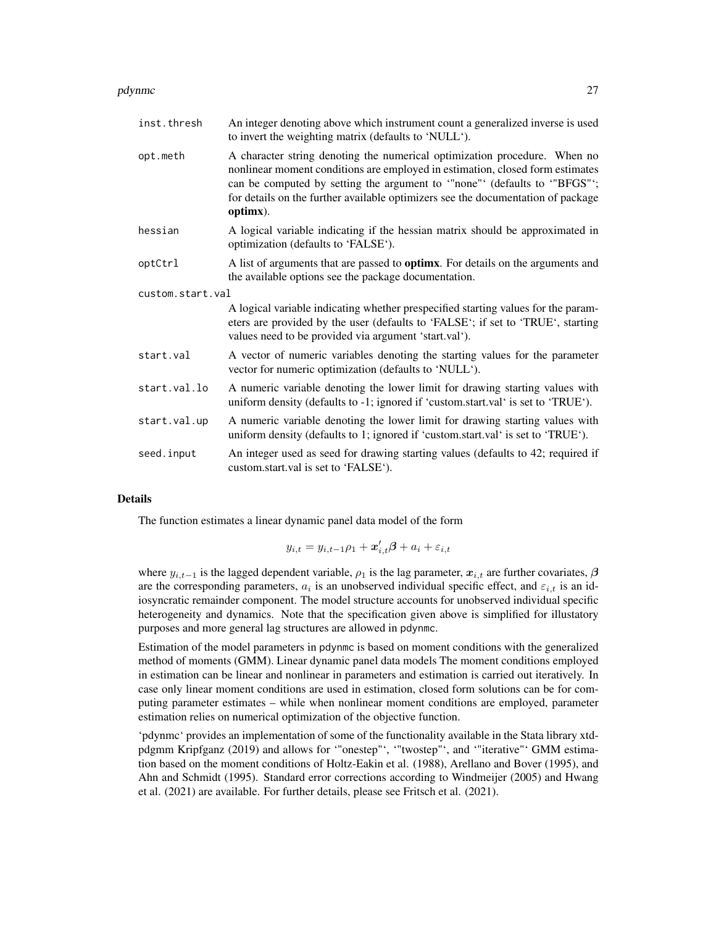#### pdynmc 27

| inst.thresh      | An integer denoting above which instrument count a generalized inverse is used<br>to invert the weighting matrix (defaults to 'NULL').                                                                                                                                                                                               |
|------------------|--------------------------------------------------------------------------------------------------------------------------------------------------------------------------------------------------------------------------------------------------------------------------------------------------------------------------------------|
| opt.meth         | A character string denoting the numerical optimization procedure. When no<br>nonlinear moment conditions are employed in estimation, closed form estimates<br>can be computed by setting the argument to "none" (defaults to "BFGS";<br>for details on the further available optimizers see the documentation of package<br>optimx). |
| hessian          | A logical variable indicating if the hessian matrix should be approximated in<br>optimization (defaults to 'FALSE').                                                                                                                                                                                                                 |
| optCtrl          | A list of arguments that are passed to <b>optimx</b> . For details on the arguments and<br>the available options see the package documentation.                                                                                                                                                                                      |
| custom.start.val |                                                                                                                                                                                                                                                                                                                                      |
|                  | A logical variable indicating whether prespecified starting values for the param-<br>eters are provided by the user (defaults to 'FALSE'; if set to 'TRUE', starting<br>values need to be provided via argument 'start.val').                                                                                                        |
| start.val        | A vector of numeric variables denoting the starting values for the parameter<br>vector for numeric optimization (defaults to 'NULL').                                                                                                                                                                                                |
| start.val.lo     | A numeric variable denoting the lower limit for drawing starting values with<br>uniform density (defaults to -1; ignored if 'custom.start.val' is set to 'TRUE').                                                                                                                                                                    |
| start.val.up     | A numeric variable denoting the lower limit for drawing starting values with<br>uniform density (defaults to 1; ignored if 'custom.start.val' is set to 'TRUE').                                                                                                                                                                     |
| seed.input       | An integer used as seed for drawing starting values (defaults to 42; required if<br>custom.start.val is set to 'FALSE').                                                                                                                                                                                                             |

#### Details

The function estimates a linear dynamic panel data model of the form

$$
y_{i,t} = y_{i,t-1}\rho_1 + \boldsymbol{x}'_{i,t}\boldsymbol{\beta} + a_i + \varepsilon_{i,t}
$$

where  $y_{i,t-1}$  is the lagged dependent variable,  $\rho_1$  is the lag parameter,  $x_{i,t}$  are further covariates,  $\beta$ are the corresponding parameters,  $a_i$  is an unobserved individual specific effect, and  $\varepsilon_{i,t}$  is an idiosyncratic remainder component. The model structure accounts for unobserved individual specific heterogeneity and dynamics. Note that the specification given above is simplified for illustatory purposes and more general lag structures are allowed in pdynmc.

Estimation of the model parameters in pdynmc is based on moment conditions with the generalized method of moments (GMM). Linear dynamic panel data models The moment conditions employed in estimation can be linear and nonlinear in parameters and estimation is carried out iteratively. In case only linear moment conditions are used in estimation, closed form solutions can be for computing parameter estimates – while when nonlinear moment conditions are employed, parameter estimation relies on numerical optimization of the objective function.

'pdynmc' provides an implementation of some of the functionality available in the Stata library xtdpdgmm Kripfganz (2019) and allows for '"onestep"', '"twostep"', and '"iterative"' GMM estimation based on the moment conditions of Holtz-Eakin et al. (1988), Arellano and Bover (1995), and Ahn and Schmidt (1995). Standard error corrections according to Windmeijer (2005) and Hwang et al. (2021) are available. For further details, please see Fritsch et al. (2021).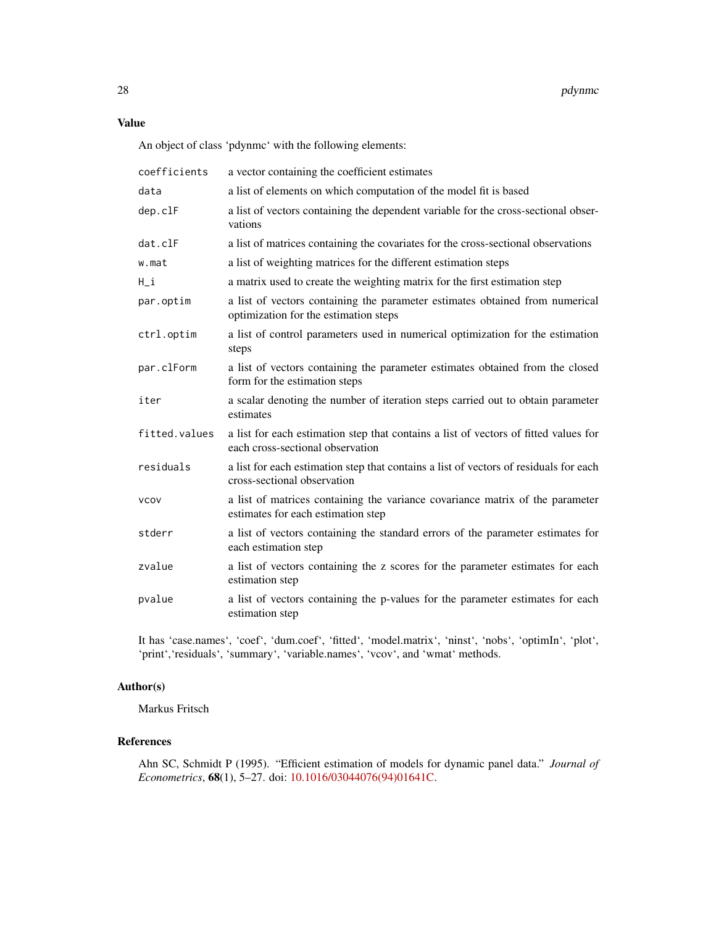# Value

An object of class 'pdynmc' with the following elements:

| coefficients  | a vector containing the coefficient estimates                                                                            |
|---------------|--------------------------------------------------------------------------------------------------------------------------|
| data          | a list of elements on which computation of the model fit is based                                                        |
| dep.clF       | a list of vectors containing the dependent variable for the cross-sectional obser-<br>vations                            |
| dat.clF       | a list of matrices containing the covariates for the cross-sectional observations                                        |
| w.mat         | a list of weighting matrices for the different estimation steps                                                          |
| H_i           | a matrix used to create the weighting matrix for the first estimation step                                               |
| par.optim     | a list of vectors containing the parameter estimates obtained from numerical<br>optimization for the estimation steps    |
| ctrl.optim    | a list of control parameters used in numerical optimization for the estimation<br>steps                                  |
| par.clForm    | a list of vectors containing the parameter estimates obtained from the closed<br>form for the estimation steps           |
| iter          | a scalar denoting the number of iteration steps carried out to obtain parameter<br>estimates                             |
| fitted.values | a list for each estimation step that contains a list of vectors of fitted values for<br>each cross-sectional observation |
| residuals     | a list for each estimation step that contains a list of vectors of residuals for each<br>cross-sectional observation     |
| <b>VCOV</b>   | a list of matrices containing the variance covariance matrix of the parameter<br>estimates for each estimation step      |
| stderr        | a list of vectors containing the standard errors of the parameter estimates for<br>each estimation step                  |
| zvalue        | a list of vectors containing the z scores for the parameter estimates for each<br>estimation step                        |
| pvalue        | a list of vectors containing the p-values for the parameter estimates for each<br>estimation step                        |

It has 'case.names', 'coef', 'dum.coef', 'fitted', 'model.matrix', 'ninst', 'nobs', 'optimIn', 'plot', 'print','residuals', 'summary', 'variable.names', 'vcov', and 'wmat' methods.

# Author(s)

Markus Fritsch

# References

Ahn SC, Schmidt P (1995). "Efficient estimation of models for dynamic panel data." *Journal of Econometrics*, 68(1), 5–27. doi: [10.1016/03044076\(94\)01641C.](https://doi.org/10.1016/0304-4076(94)01641-C)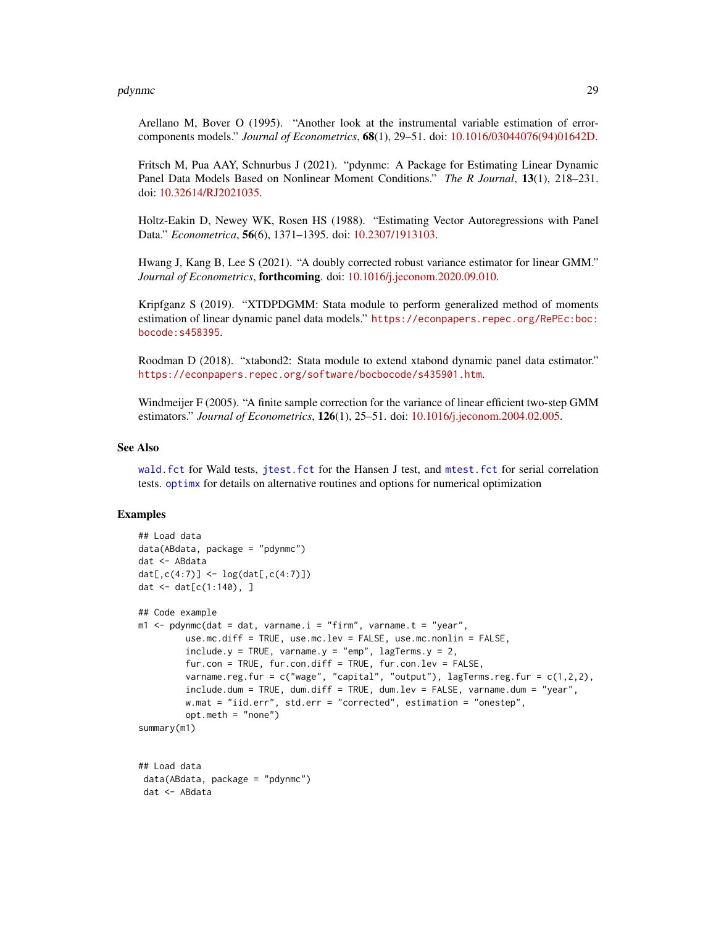#### <span id="page-28-0"></span>pdynmc 29

Arellano M, Bover O (1995). "Another look at the instrumental variable estimation of errorcomponents models." *Journal of Econometrics*, 68(1), 29–51. doi: [10.1016/03044076\(94\)01642D.](https://doi.org/10.1016/0304-4076(94)01642-D)

Fritsch M, Pua AAY, Schnurbus J (2021). "pdynmc: A Package for Estimating Linear Dynamic Panel Data Models Based on Nonlinear Moment Conditions." *The R Journal*, 13(1), 218–231. doi: [10.32614/RJ2021035.](https://doi.org/10.32614/RJ-2021-035)

Holtz-Eakin D, Newey WK, Rosen HS (1988). "Estimating Vector Autoregressions with Panel Data." *Econometrica*, 56(6), 1371–1395. doi: [10.2307/1913103.](https://doi.org/10.2307/1913103)

Hwang J, Kang B, Lee S (2021). "A doubly corrected robust variance estimator for linear GMM." *Journal of Econometrics*, forthcoming. doi: [10.1016/j.jeconom.2020.09.010.](https://doi.org/10.1016/j.jeconom.2020.09.010)

Kripfganz S (2019). "XTDPDGMM: Stata module to perform generalized method of moments estimation of linear dynamic panel data models." [https://econpapers.repec.org/RePEc:boc:](https://econpapers.repec.org/RePEc:boc:bocode:s458395) [bocode:s458395](https://econpapers.repec.org/RePEc:boc:bocode:s458395).

Roodman D (2018). "xtabond2: Stata module to extend xtabond dynamic panel data estimator." <https://econpapers.repec.org/software/bocbocode/s435901.htm>.

Windmeijer F (2005). "A finite sample correction for the variance of linear efficient two-step GMM estimators." *Journal of Econometrics*, 126(1), 25–51. doi: [10.1016/j.jeconom.2004.02.005.](https://doi.org/10.1016/j.jeconom.2004.02.005)

#### See Also

[wald.fct](#page-42-1) for Wald tests, [jtest.fct](#page-10-1) for the Hansen J test, and [mtest.fct](#page-13-1) for serial correlation tests. [optimx](#page-0-0) for details on alternative routines and options for numerical optimization

```
## Load data
data(ABdata, package = "pdynmc")
dat <- ABdata
dat[0, c(4:7)] <- log(data[, c(4:7)]dat \le - dat[c(1:140), ]## Code example
m1 <- pdynmc(dat = dat, varname.i = "firm", varname.t = "year",
         use.mc.diff = TRUE, use.mc.lev = FALSE, use.mc.nonlin = FALSE,
         include.y = TRUE, varname.y = "emp", lagTerms.y = 2,fur.con = TRUE, fur.con.diff = TRUE, fur.con.lev = FALSE,
         varname.reg.fur = c("wage", "capital", "output"), lagTerms.reg.fur = <math>c(1,2,2)</math>,include.dum = TRUE, dum.diff = TRUE, dum.lev = FALSE, varname.dum = "year",
         w.mat = "iid.err", std.err = "corrected", estimation = "onestep",
         opt.meth = "none")
summary(m1)
## Load data
data(ABdata, package = "pdynmc")
dat <- ABdata
```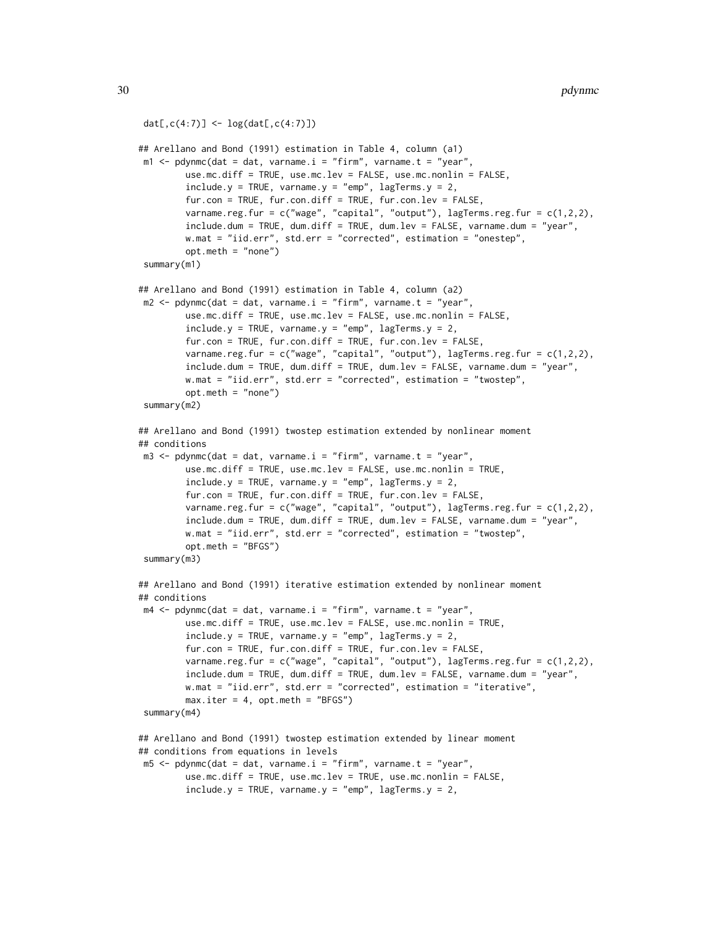```
dat[,c(4:7)] <- log(data[, c(4:7)])## Arellano and Bond (1991) estimation in Table 4, column (a1)
m1 <- pdynmc(dat = dat, varname.i = "firm", varname.t = "year",
        use.mc.diff = TRUE, use.mc.lev = FALSE, use.mc.nonlin = FALSE,
        include.y = TRUE, varname.y = "emp", lagTerms.y = 2,fur.con = TRUE, fur.con.diff = TRUE, fur.con.lev = FALSE,
        varname.reg.fur = c("wage", "capital", "output"), lagTerms.reg.fur = c(1,2,2),
        include.dum = TRUE, dum.diff = TRUE, dum.lev = FALSE, varname.dum = "year",
        w.mat = "iid.err", std.err = "corrected", estimation = "onestep",
        opt.meth = "none")
summary(m1)
## Arellano and Bond (1991) estimation in Table 4, column (a2)
m2 \leq pdynmc(dat = dat, varname.i = "firm", varname.t = "year",
        use.mc.diff = TRUE, use.mc.lev = FALSE, use.mc.nonlin = FALSE,
        include.y = TRUE, varname.y = "emp", lagTerms.y = 2,fur.con = TRUE, fur.con.diff = TRUE, fur.con.lev = FALSE,
        varname.reg.fur = c("wage", "capital", "output"), lagTerms.reg.fur = c(1,2,2),
        include.dum = TRUE, dum.diff = TRUE, dum.lev = FALSE, varname.dum = "year",
        w.mat = "iid.err", std.err = "corrected", estimation = "twostep",
        opt.meth = "none")
summary(m2)
## Arellano and Bond (1991) twostep estimation extended by nonlinear moment
## conditions
m3 \leq pdynmc(dat = dat, varname.i = "firm", varname.t = "year",
        use.mc.diff = TRUE, use.mc.lev = FALSE, use.mc.nonlin = TRUE,
        include.y = TRUE, varname.y = "emp", lagTerms.y = 2,fur.con = TRUE, fur.con.diff = TRUE, fur.con.lev = FALSE,
        varname.reg.fur = c("wage", "capital", "output"), lagTerms.reg.fur = c(1,2,2),
        include.dum = TRUE, dum.diff = TRUE, dum.lev = FALSE, varname.dum = "year",
        w.mat = "iid.err", std.err = "corrected", estimation = "twostep",
        opt.meth = "BFGS")
summary(m3)
## Arellano and Bond (1991) iterative estimation extended by nonlinear moment
## conditions
m4 \leq pdynmc(dat = dat, varname.i = "firm", varname.t = "year",
        use.mc.diff = TRUE, use.mc.lev = FALSE, use.mc.nonlin = TRUE,
        include.y = TRUE, varname.y = "emp", lagTerms.y = 2,fur.con = TRUE, fur.con.diff = TRUE, fur.con.lev = FALSE,
        varname.reg.fur = c("wage", "capital", "output"), lagTerms.reg.fur = c(1,2,2),
        include.dum = TRUE, dum.diff = TRUE, dum.lev = FALSE, varname.dum = "year",
        w.mat = "iid.err", std.err = "corrected", estimation = "iterative",
        max.iter = 4, opt.meth = "BFGS")summary(m4)
## Arellano and Bond (1991) twostep estimation extended by linear moment
## conditions from equations in levels
m5 <- pdynmc(dat = dat, varname.i = "firm", varname.t = "year",
        use.mc.diff = TRUE, use.mc.lev = TRUE, use.mc.nonlin = FALSE,
        include.y = TRUE, varname.y = "emp", lagTerms.y = 2,
```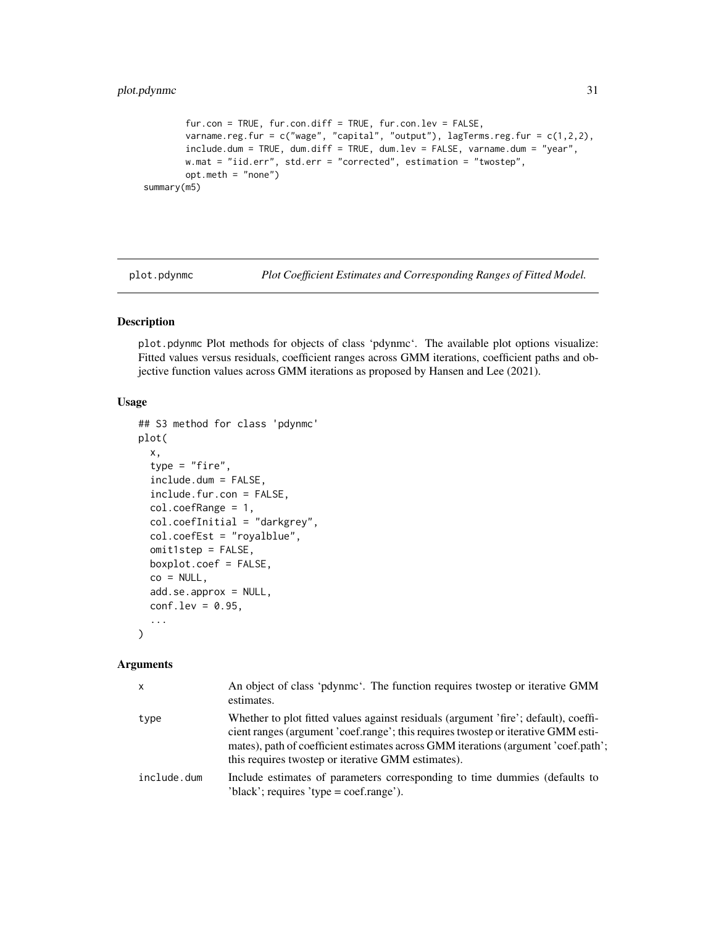```
fur.con = TRUE, fur.con.diff = TRUE, fur.con.lev = FALSE,
       varname.reg.fur = c("wage", "capital", "output"), lagTerms.reg.fur = c(1,2,2),
       include.dum = TRUE, dum.diff = TRUE, dum.lev = FALSE, varname.dum = "year",
       w.mat = "iid.err", std.err = "corrected", estimation = "twostep",
       opt.meth = "none")
summary(m5)
```
plot.pdynmc *Plot Coefficient Estimates and Corresponding Ranges of Fitted Model.*

# Description

plot.pdynmc Plot methods for objects of class 'pdynmc'. The available plot options visualize: Fitted values versus residuals, coefficient ranges across GMM iterations, coefficient paths and objective function values across GMM iterations as proposed by Hansen and Lee (2021).

#### Usage

```
## S3 method for class 'pdynmc'
plot(
  x,
  type = "fire",include.dum = FALSE,
  include.fur.con = FALSE,
  col.coefRange = 1,
  col.coefInitial = "darkgrey",
  col.coefEst = "royalblue",
  omit1step = FALSE,
 boxplot.coef = FALSE,
  co = NULL,add.se.approx = NULL,
  conf.lev = 0.95,
  ...
\mathcal{L}
```
#### Arguments

| $\mathsf{x}$ | An object of class 'pdynmc'. The function requires two tep or iterative GMM<br>estimates.                                                                                                                                                                                                                            |
|--------------|----------------------------------------------------------------------------------------------------------------------------------------------------------------------------------------------------------------------------------------------------------------------------------------------------------------------|
| type         | Whether to plot fitted values against residuals (argument 'fire'; default), coeffi-<br>cient ranges (argument 'coef.range'; this requires two tep or iterative GMM esti-<br>mates), path of coefficient estimates across GMM iterations (argument 'coef.path';<br>this requires two tep or iterative GMM estimates). |
| include.dum  | Include estimates of parameters corresponding to time dummies (defaults to<br>'black'; requires 'type = $\text{coef}$ .                                                                                                                                                                                              |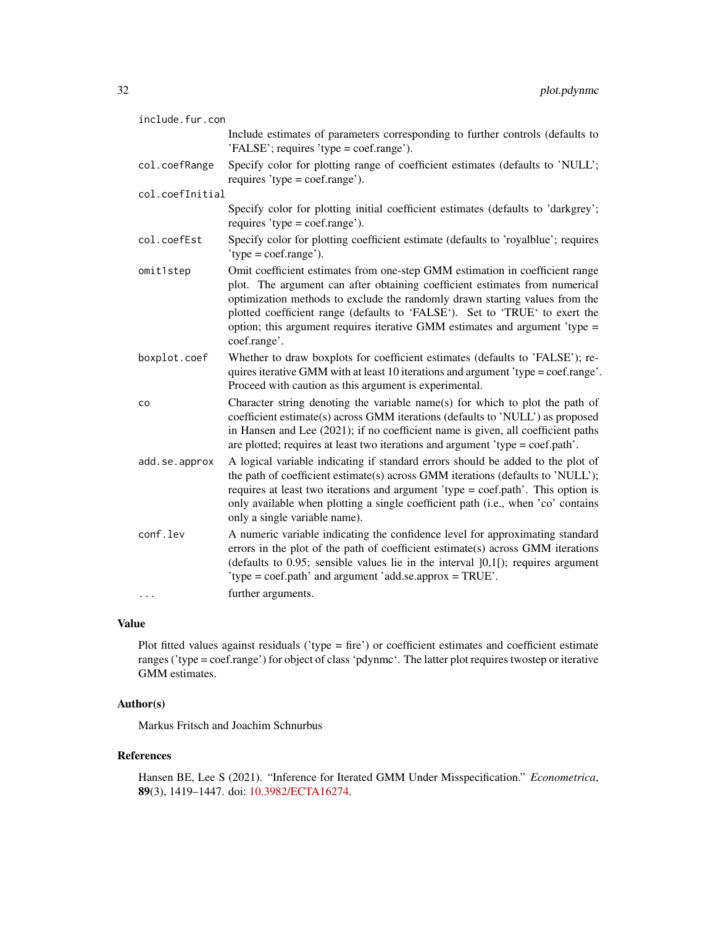| include.fur.con |                                                                                                                                                                                                                                                                                                                                                                                                                          |  |
|-----------------|--------------------------------------------------------------------------------------------------------------------------------------------------------------------------------------------------------------------------------------------------------------------------------------------------------------------------------------------------------------------------------------------------------------------------|--|
|                 | Include estimates of parameters corresponding to further controls (defaults to<br>'FALSE'; requires 'type = coef.range').                                                                                                                                                                                                                                                                                                |  |
| col.coefRange   | Specify color for plotting range of coefficient estimates (defaults to 'NULL';<br>requires 'type = $\text{coef}$ .                                                                                                                                                                                                                                                                                                       |  |
| col.coefInitial |                                                                                                                                                                                                                                                                                                                                                                                                                          |  |
|                 | Specify color for plotting initial coefficient estimates (defaults to 'darkgrey';<br>requires 'type = $\text{coef}$ .                                                                                                                                                                                                                                                                                                    |  |
| col.coefEst     | Specify color for plotting coefficient estimate (defaults to 'royalblue'; requires<br>$'type = coef_range'.$                                                                                                                                                                                                                                                                                                             |  |
| omit1step       | Omit coefficient estimates from one-step GMM estimation in coefficient range<br>plot. The argument can after obtaining coefficient estimates from numerical<br>optimization methods to exclude the randomly drawn starting values from the<br>plotted coefficient range (defaults to 'FALSE'). Set to 'TRUE' to exert the<br>option; this argument requires iterative GMM estimates and argument 'type =<br>coef.range'. |  |
| boxplot.coef    | Whether to draw boxplots for coefficient estimates (defaults to 'FALSE'); re-<br>quires iterative GMM with at least 10 iterations and argument 'type = coef.range'.<br>Proceed with caution as this argument is experimental.                                                                                                                                                                                            |  |
| co              | Character string denoting the variable name(s) for which to plot the path of<br>coefficient estimate(s) across GMM iterations (defaults to 'NULL') as proposed<br>in Hansen and Lee (2021); if no coefficient name is given, all coefficient paths<br>are plotted; requires at least two iterations and argument 'type = coef.path'.                                                                                     |  |
| add.se.approx   | A logical variable indicating if standard errors should be added to the plot of<br>the path of coefficient estimate(s) across GMM iterations (defaults to 'NULL');<br>requires at least two iterations and argument 'type = coef.path'. This option is<br>only available when plotting a single coefficient path (i.e., when 'co' contains<br>only a single variable name).                                              |  |
| conf.lev<br>.   | A numeric variable indicating the confidence level for approximating standard<br>errors in the plot of the path of coefficient estimate(s) across GMM iterations<br>(defaults to $0.95$ ; sensible values lie in the interval $]0,1[$ ); requires argument<br>'type = coef.path' and argument 'add.se.approx = TRUE'.<br>further arguments.                                                                              |  |
|                 |                                                                                                                                                                                                                                                                                                                                                                                                                          |  |

# Value

Plot fitted values against residuals ('type = fire') or coefficient estimates and coefficient estimate ranges ('type = coef.range') for object of class 'pdynmc'. The latter plot requires twostep or iterative GMM estimates.

# Author(s)

Markus Fritsch and Joachim Schnurbus

#### References

Hansen BE, Lee S (2021). "Inference for Iterated GMM Under Misspecification." *Econometrica*, 89(3), 1419–1447. doi: [10.3982/ECTA16274.](https://doi.org/10.3982/ECTA16274)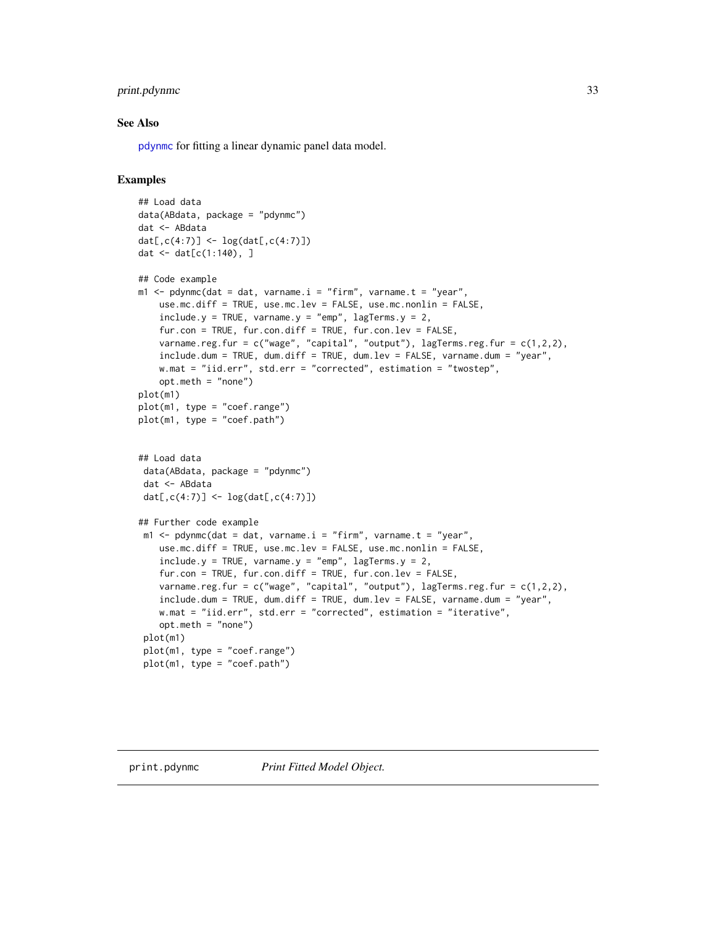# <span id="page-32-0"></span>print.pdynmc 33

#### See Also

[pdynmc](#page-21-1) for fitting a linear dynamic panel data model.

```
## Load data
data(ABdata, package = "pdynmc")
dat <- ABdata
dat[0, c(4:7)] <- log(data[, c(4:7)]dat <- dat[c(1:140), ]
## Code example
m1 <- pdynmc(dat = dat, varname.i = "firm", varname.t = "year",
   use.mc.diff = TRUE, use.mc.lev = FALSE, use.mc.nonlin = FALSE,
   include.y = TRUE, varname.y = "emp", lagTerms.y = 2,
   fur.con = TRUE, fur.con.diff = TRUE, fur.con.lev = FALSE,
   varname.reg.fur = c("wage", "capital", "output"), lagTerms.reg.frur = <math>c(1,2,2)</math>,include.dum = TRUE, dum.diff = TRUE, dum.lev = FALSE, varname.dum = "year",
   w.mat = "iid.err", std.err = "corrected", estimation = "twostep",
   opt.meth = "none")
plot(m1)
plot(m1, type = "coef.range")
plot(m1, type = "coef.path")
## Load data
data(ABdata, package = "pdynmc")
dat <- ABdata
dat[0, c(4:7)] <- log(data[0, c(4:7)])## Further code example
m1 <- pdynmc(dat = dat, varname.i = "firm", varname.t = "year",
   use.mc.diff = TRUE, use.mc.lev = FALSE, use.mc.nonlin = FALSE,
    include.y = TRUE, varname.y = "emp", lagTerms.y = 2,fur.con = TRUE, fur.con.diff = TRUE, fur.con.lev = FALSE,
   varname.reg.fur = c("wage", "capital", "output"), lagTerms.reg.fur = c(1,2,2),
    include.dum = TRUE, dum.diff = TRUE, dum.lev = FALSE, varname.dum = "year",
   w.mat = "iid.err", std.err = "corrected", estimation = "iterative",
   opt.meth = "none")
 plot(m1)
plot(m1, type = "coef.range")
plot(m1, type = "coef.path")
```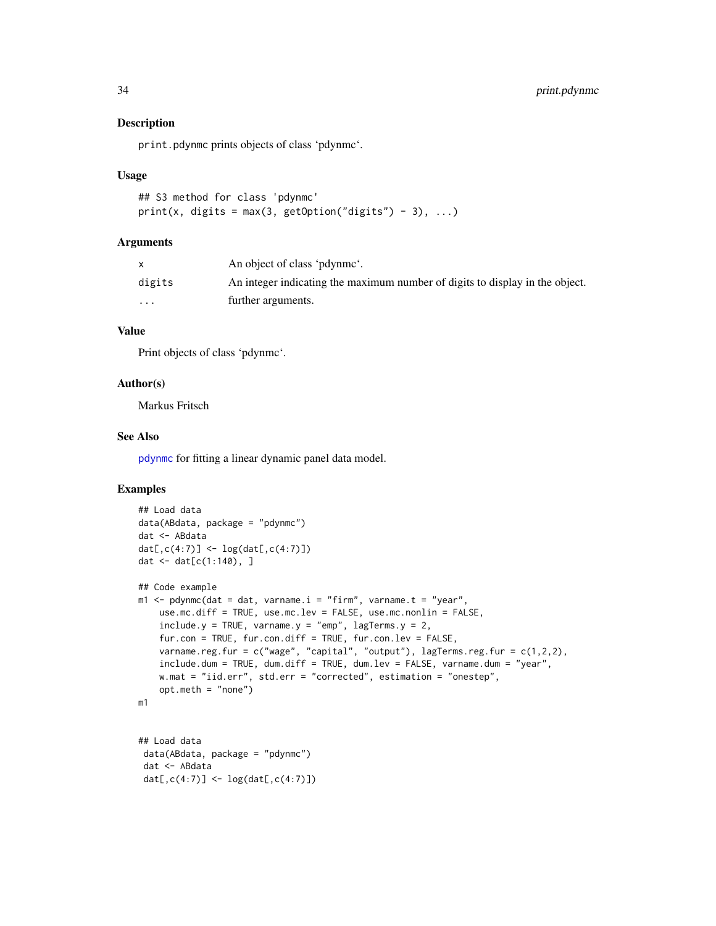#### Description

print.pdynmc prints objects of class 'pdynmc'.

#### Usage

```
## S3 method for class 'pdynmc'
print(x, \text{ digits} = max(3, \text{ getOption("digits") - 3), ...)
```
#### Arguments

|          | An object of class 'pdynme'.                                                 |
|----------|------------------------------------------------------------------------------|
| digits   | An integer indicating the maximum number of digits to display in the object. |
| $\cdots$ | further arguments.                                                           |

# Value

Print objects of class 'pdynmc'.

#### Author(s)

Markus Fritsch

# See Also

[pdynmc](#page-21-1) for fitting a linear dynamic panel data model.

```
## Load data
data(ABdata, package = "pdynmc")
dat <- ABdata
dat[,c(4:7)] <- log(data[, c(4:7)])
dat \leq - dat[c(1:140), ]## Code example
m1 <- pdynmc(dat = dat, varname.i = "firm", varname.t = "year",
   use.mc.diff = TRUE, use.mc.lev = FALSE, use.mc.nonlin = FALSE,
   include.y = TRUE, varname.y = "emp", lagTerms.y = 2,fur.con = TRUE, fur.con.diff = TRUE, fur.con.lev = FALSE,
   varname.reg.fur = c("wage", "capital", "output"), lagTerms, reg.fur = <math>c(1,2,2)</math>,include.dum = TRUE, dum.diff = TRUE, dum.lev = FALSE, varname.dum = "year",
   w.mat = "iid.err", std.err = "corrected", estimation = "onestep",
    opt.meth = "none")
m1
## Load data
 data(ABdata, package = "pdynmc")
 dat <- ABdata
 dat[,c(4:7)] <- log(dat[,c(4:7)])
```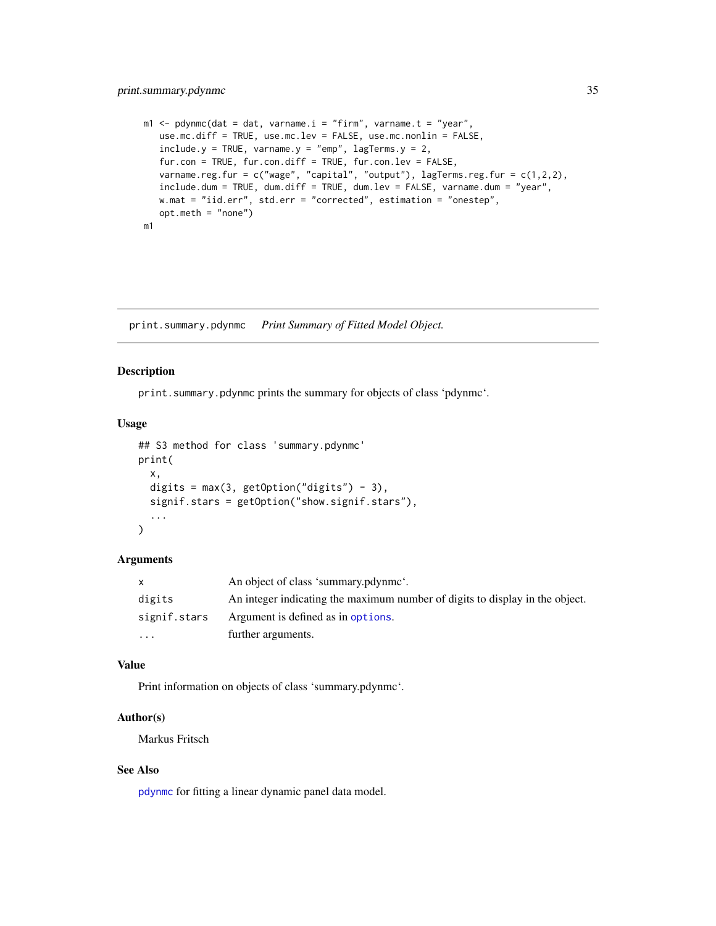# <span id="page-34-0"></span>print.summary.pdynmc 35

```
m1 <- pdynmc(dat = dat, varname.i = "firm", varname.t = "year",
  use.mc.diff = TRUE, use.mc.lev = FALSE, use.mc.nonlin = FALSE,
   include.y = TRUE, varname.y = "emp", lagTerms.y = 2,
   fur.con = TRUE, fur.con.diff = TRUE, fur.con.lev = FALSE,
  varname.reg.fur = c("wage", "capital", "output"), lagTerms.reg.fur = <math>c(1,2,2)</math>,include.dum = TRUE, dum.diff = TRUE, dum.lev = FALSE, varname.dum = "year",
  w.mat = "iid.err", std.err = "corrected", estimation = "onestep",
   opt.meth = "none")
m1
```
print.summary.pdynmc *Print Summary of Fitted Model Object.*

#### Description

print.summary.pdynmc prints the summary for objects of class 'pdynmc'.

# Usage

```
## S3 method for class 'summary.pdynmc'
print(
  x,
  digits = max(3, getOption("digits") - 3),signif.stars = getOption("show.signif.stars"),
  ...
\lambda
```
#### Arguments

| X            | An object of class 'summary.pdynme'.                                         |
|--------------|------------------------------------------------------------------------------|
| digits       | An integer indicating the maximum number of digits to display in the object. |
| signif.stars | Argument is defined as in options.                                           |
| $\cdots$     | further arguments.                                                           |

# Value

Print information on objects of class 'summary.pdynmc'.

#### Author(s)

Markus Fritsch

# See Also

[pdynmc](#page-21-1) for fitting a linear dynamic panel data model.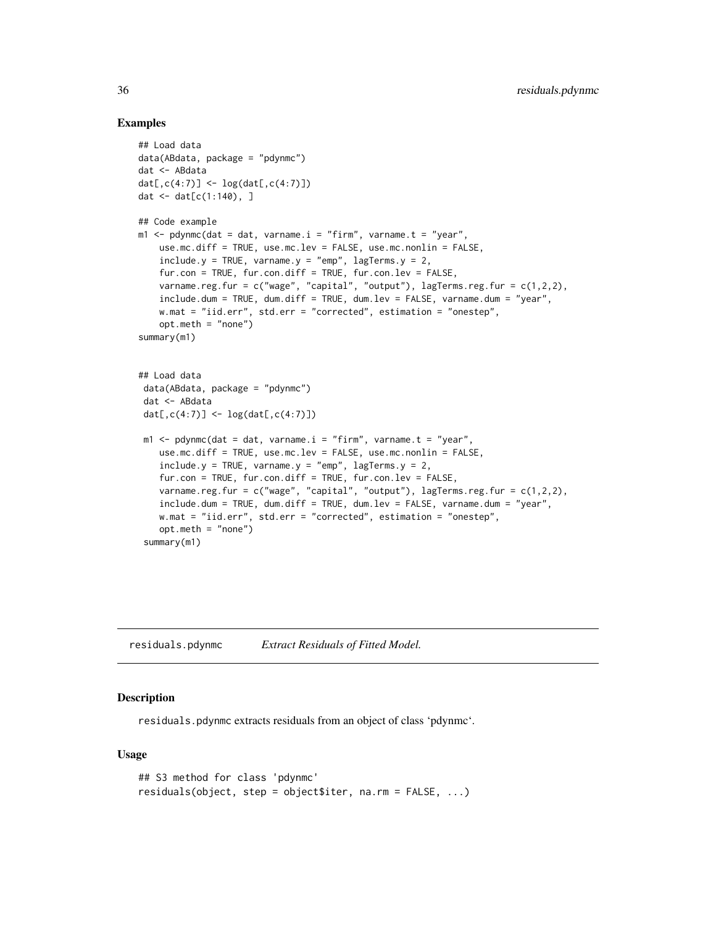#### Examples

```
## Load data
data(ABdata, package = "pdynmc")
dat <- ABdata
dat[,c(4:7)] <- log(data[, c(4:7)]dat \leq dat[c(1:140), ]## Code example
m1 <- pdynmc(dat = dat, varname.i = "firm", varname.t = "year",
    use.mc.diff = TRUE, use.mc.lev = FALSE, use.mc.nonlin = FALSE,
    include.y = TRUE, varname.y = "emp", lagTerms.y = 2,fur.con = TRUE, fur.con.diff = TRUE, fur.con.lev = FALSE,
   varname.reg.fur = c("wage", "capital", "output"), lagTerms.reg.frur = <math>c(1,2,2)</math>,include.dum = TRUE, dum.diff = TRUE, dum.lev = FALSE, varname.dum = "year",
   w.mat = "iid.err", std.err = "corrected", estimation = "onestep",
    opt.meth = "none")
summary(m1)
## Load data
 data(ABdata, package = "pdynmc")
 dat <- ABdata
 dat[,c(4:7)] <- log(data[, c(4:7)]m1 <- pdynmc(dat = dat, varname.i = "firm", varname.t = "year",
   use.mc.diff = TRUE, use.mc.lev = FALSE, use.mc.nonlin = FALSE,
    include.y = TRUE, varname.y = "emp", lagTerms.y = 2,fur.con = TRUE, fur.con.diff = TRUE, fur.con.lev = FALSE,
    varname.reg.fur = c("wage", "capital", "output"), lagTerms.reg.fur = c(1,2,2),
    include.dum = TRUE, dum.diff = TRUE, dum.lev = FALSE, varname.dum = "year",
   w.mat = "iid.err", std.err = "corrected", estimation = "onestep",
    opt.meth = "none")
 summary(m1)
```
residuals.pdynmc *Extract Residuals of Fitted Model.*

#### **Description**

residuals.pdynmc extracts residuals from an object of class 'pdynmc'.

#### Usage

```
## S3 method for class 'pdynmc'
residuals(object, step = object$iter, na.rm = FALSE, ...)
```
<span id="page-35-0"></span>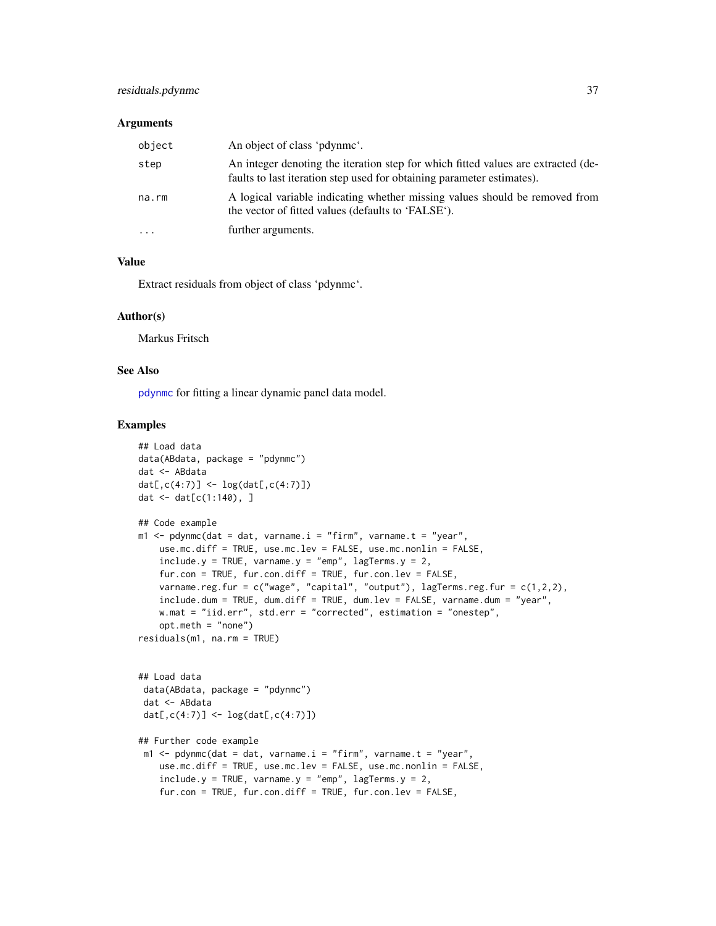# <span id="page-36-0"></span>residuals.pdynmc 37

#### **Arguments**

| object    | An object of class 'pdynme'.                                                                                                                                |
|-----------|-------------------------------------------------------------------------------------------------------------------------------------------------------------|
| step      | An integer denoting the iteration step for which fitted values are extracted (de-<br>faults to last iteration step used for obtaining parameter estimates). |
| na.rm     | A logical variable indicating whether missing values should be removed from<br>the vector of fitted values (defaults to 'FALSE').                           |
| $\ddotsc$ | further arguments.                                                                                                                                          |

#### Value

Extract residuals from object of class 'pdynmc'.

#### Author(s)

Markus Fritsch

#### See Also

[pdynmc](#page-21-1) for fitting a linear dynamic panel data model.

```
## Load data
data(ABdata, package = "pdynmc")
dat <- ABdata
dat[,c(4:7)] <- log(data[, c(4:7)]dat <- dat[c(1:140), ]
## Code example
m1 < - pdynmc(dat = dat, varname.i = "firm", varname.t = "year",
    use.mc.diff = TRUE, use.mc.lev = FALSE, use.mc.nonlin = FALSE,
    include.y = TRUE, varname.y = "emp", lagTerms.y = 2,fur.con = TRUE, fur.con.diff = TRUE, fur.con.lev = FALSE,
    varname.reg.fur = c("wage", "capital", "output"), lagTerms.reg.fur = c(1,2,2),
    include.dum = TRUE, dum.diff = TRUE, dum.lev = FALSE, varname.dum = "year",
    w.mat = "iid.err", std.err = "corrected", estimation = "onestep",
    opt.meth = "none")
residuals(m1, na.rm = TRUE)
## Load data
 data(ABdata, package = "pdynmc")
 dat <- ABdata
 dat[,c(4:7)] <- log(dat[,c(4:7)])
## Further code example
 m1 <- pdynmc(dat = dat, varname.i = "firm", varname.t = "year",
    use.mc.diff = TRUE, use.mc.lev = FALSE, use.mc.nonlin = FALSE,
    include.y = TRUE, varname.y = "emp", lagTerms.y = 2,fur.con = TRUE, fur.con.diff = TRUE, fur.con.lev = FALSE,
```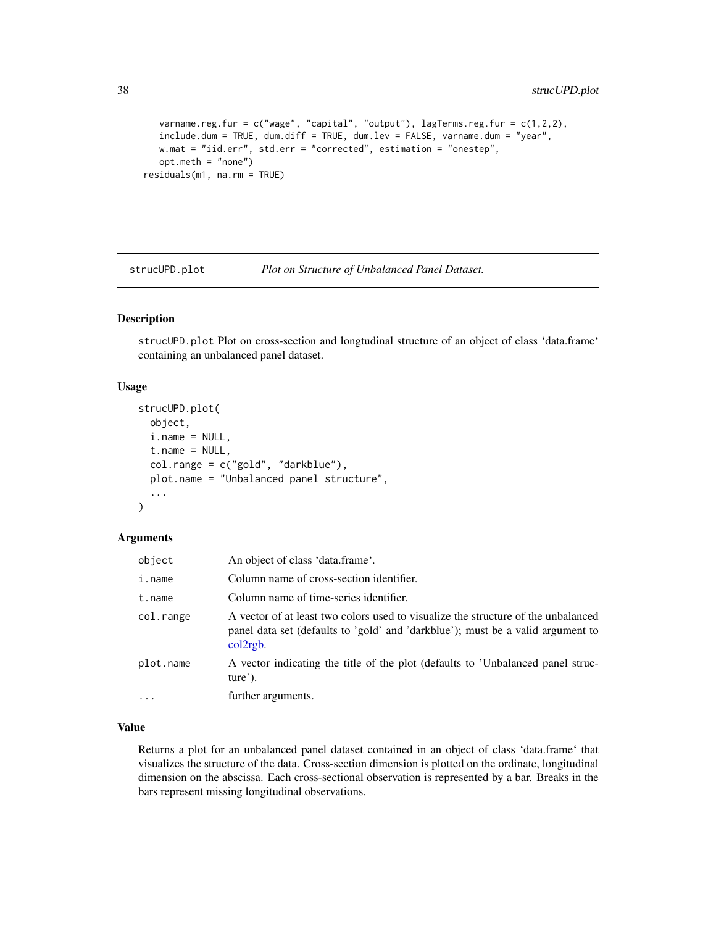```
varname.reg.fur = c("wage", "capital", "output"), lagTerms.reg.fur = <math>c(1,2,2)</math>,include.dum = TRUE, dum.diff = TRUE, dum.lev = FALSE, varname.dum = "year",
   w.mat = "iid.err", std.err = "corrected", estimation = "onestep",
   opt.meth = "none")
residuals(m1, na.rm = TRUE)
```
strucUPD.plot *Plot on Structure of Unbalanced Panel Dataset.*

# Description

strucUPD.plot Plot on cross-section and longtudinal structure of an object of class 'data.frame' containing an unbalanced panel dataset.

#### Usage

```
strucUPD.plot(
  object,
  i.name = NULL,t.name = NULL,col.range = c("gold", "darkblue"),
  plot.name = "Unbalanced panel structure",
  ...
)
```
# Arguments

| object    | An object of class 'data.frame'.                                                                                                                                                 |
|-----------|----------------------------------------------------------------------------------------------------------------------------------------------------------------------------------|
| i.name    | Column name of cross-section identifier.                                                                                                                                         |
| t.name    | Column name of time-series identifier.                                                                                                                                           |
| col.range | A vector of at least two colors used to visualize the structure of the unbalanced<br>panel data set (defaults to 'gold' and 'darkblue'); must be a valid argument to<br>col2rgb. |
| plot.name | A vector indicating the title of the plot (defaults to 'Unbalanced panel struc-<br>$ture'$ ).                                                                                    |
| $\cdots$  | further arguments.                                                                                                                                                               |

# Value

Returns a plot for an unbalanced panel dataset contained in an object of class 'data.frame' that visualizes the structure of the data. Cross-section dimension is plotted on the ordinate, longitudinal dimension on the abscissa. Each cross-sectional observation is represented by a bar. Breaks in the bars represent missing longitudinal observations.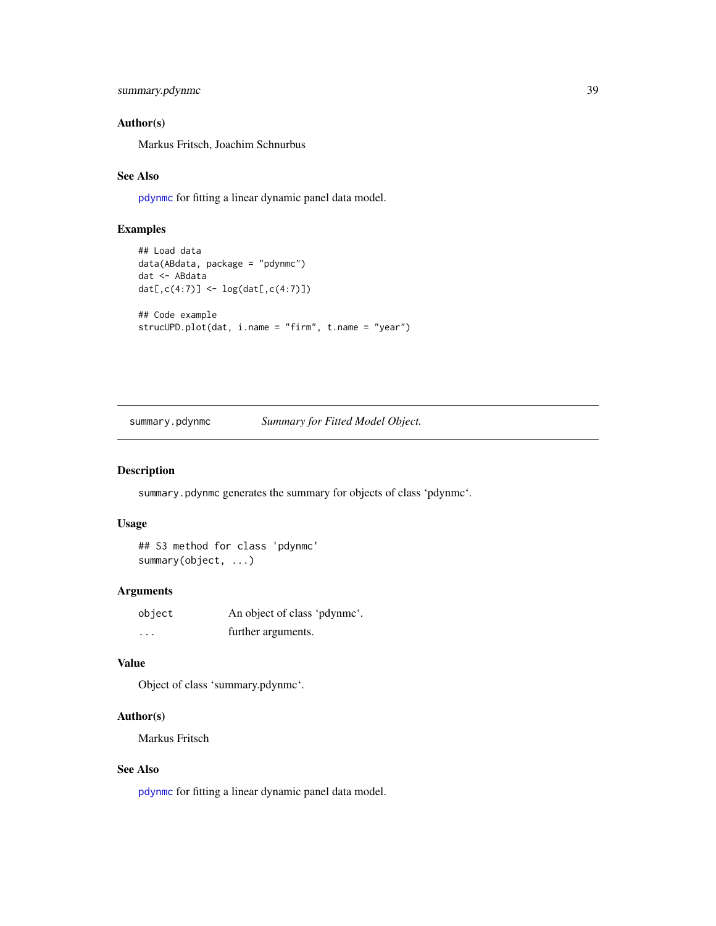```
summary.pdynmc 39
```
# Author(s)

Markus Fritsch, Joachim Schnurbus

#### See Also

[pdynmc](#page-21-1) for fitting a linear dynamic panel data model.

# Examples

```
## Load data
data(ABdata, package = "pdynmc")
dat <- ABdata
dat[,c(4:7)] <- log(data[,c(4:7)]## Code example
strucUPD.plot(dat, i.name = "firm", t.name = "year")
```
# summary.pdynmc *Summary for Fitted Model Object.*

#### Description

summary.pdynmc generates the summary for objects of class 'pdynmc'.

#### Usage

```
## S3 method for class 'pdynmc'
summary(object, ...)
```
# Arguments

| object   | An object of class 'pdynme'. |
|----------|------------------------------|
| $\cdots$ | further arguments.           |

# Value

Object of class 'summary.pdynmc'.

#### Author(s)

Markus Fritsch

# See Also

[pdynmc](#page-21-1) for fitting a linear dynamic panel data model.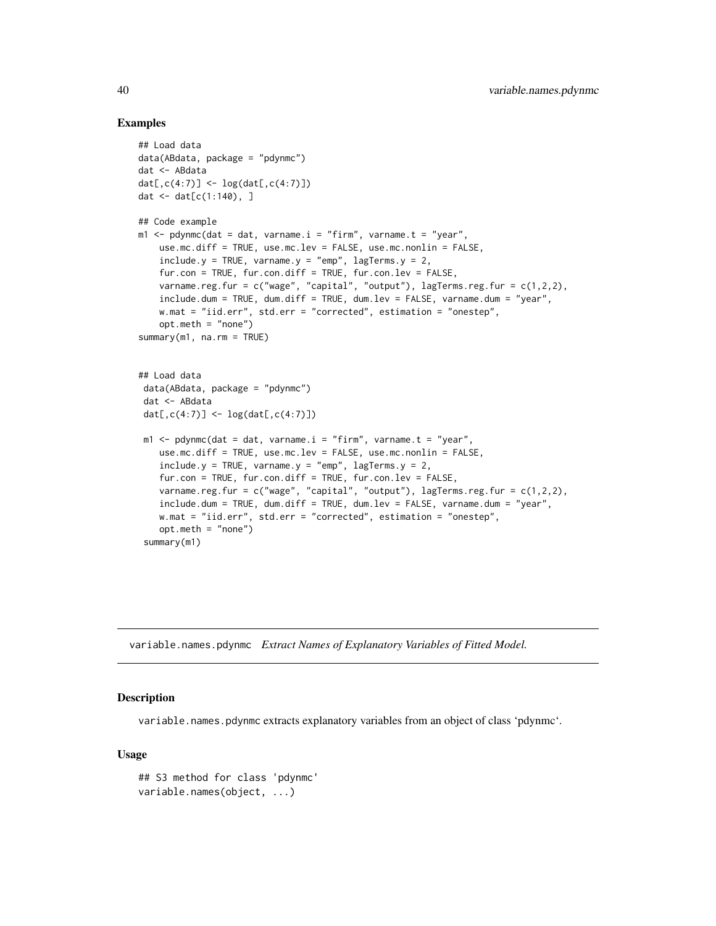#### Examples

```
## Load data
data(ABdata, package = "pdynmc")
dat <- ABdata
dat[,c(4:7)] <- log(data[, c(4:7)]dat \leq dat[c(1:140), ]## Code example
m1 \leq pdynmc(dat = dat, varname.i = "firm", varname.t = "year",
    use.mc.diff = TRUE, use.mc.lev = FALSE, use.mc.nonlin = FALSE,
    include.y = TRUE, varname.y = "emp", lagTerms.y = 2,fur.con = TRUE, fur.con.diff = TRUE, fur.con.lev = FALSE,
   varname.reg.fur = c("wage", "capital", "output"), lagTerms.reg.frur = <math>c(1,2,2)</math>,include.dum = TRUE, dum.diff = TRUE, dum.lev = FALSE, varname.dum = "year",
   w.mat = "iid.err", std.err = "corrected", estimation = "onestep",
    opt.meth = "none")
summarv(m1, na.rm = TRUE)## Load data
 data(ABdata, package = "pdynmc")
 dat <- ABdata
 dat[,c(4:7)] <- log(data[, c(4:7)]m1 <- pdynmc(dat = dat, varname.i = "firm", varname.t = "year",
   use.mc.diff = TRUE, use.mc.lev = FALSE, use.mc.nonlin = FALSE,
    include.y = TRUE, varname.y = "emp", lagTerms.y = 2,fur.con = TRUE, fur.con.diff = TRUE, fur.con.lev = FALSE,
    varname.reg.fur = c("wage", "capital", "output"), lagTerms.reg.fur = c(1,2,2),
    include.dum = TRUE, dum.diff = TRUE, dum.lev = FALSE, varname.dum = "year",
   w.mat = "iid.err", std.err = "corrected", estimation = "onestep",
    opt.meth = "none")
 summary(m1)
```
variable.names.pdynmc *Extract Names of Explanatory Variables of Fitted Model.*

#### **Description**

variable.names.pdynmc extracts explanatory variables from an object of class 'pdynmc'.

#### Usage

```
## S3 method for class 'pdynmc'
variable.names(object, ...)
```
<span id="page-39-0"></span>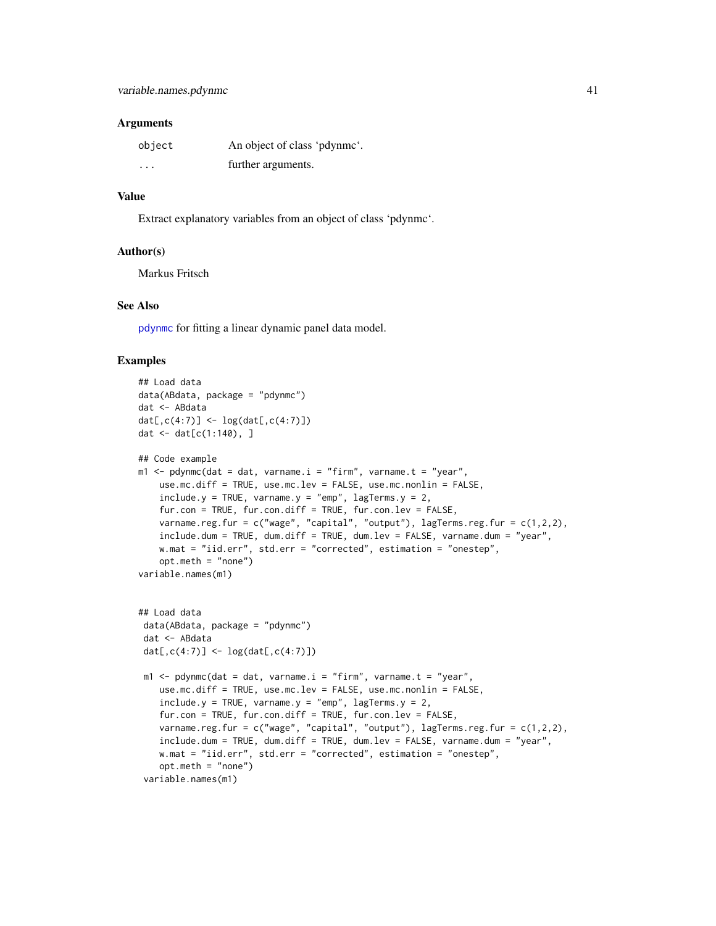#### <span id="page-40-0"></span>**Arguments**

| object   | An object of class 'pdynme'. |
|----------|------------------------------|
| $\cdots$ | further arguments.           |

#### Value

Extract explanatory variables from an object of class 'pdynmc'.

#### Author(s)

Markus Fritsch

# See Also

[pdynmc](#page-21-1) for fitting a linear dynamic panel data model.

```
## Load data
data(ABdata, package = "pdynmc")
dat <- ABdata
dat[,c(4:7)] <- log(data[, c(4:7)])dat <- dat[c(1:140), ]
## Code example
m1 \leq pdynmc(dat = dat, varname.i = "firm", varname.t = "year",
   use.mc.diff = TRUE, use.mc.lev = FALSE, use.mc.nonlin = FALSE,
   include.y = TRUE, varname.y = "emp", lagTerms.y = 2,
   fur.con = TRUE, fur.con.diff = TRUE, fur.con.lev = FALSE,
   varname.reg.fur = c("wage", "capital", "output"), lagTerms.reg.fur = <math>c(1,2,2)</math>,include.dum = TRUE, dum.diff = TRUE, dum.lev = FALSE, varname.dum = "year",
   w.mat = "iid.err", std.err = "corrected", estimation = "onestep",
    opt.meth = "none")
variable.names(m1)
## Load data
 data(ABdata, package = "pdynmc")
 dat <- ABdata
 dat[,c(4:7)] <- log(data[, c(4:7)])m1 < - pdynmc(dat = dat, varname.i = "firm", varname.t = "year",
   use.mc.diff = TRUE, use.mc.lev = FALSE, use.mc.nonlin = FALSE,
    include.y = TRUE, varname.y = "emp", lagTerms.y = 2,fur.con = TRUE, fur.con.diff = TRUE, fur.con.lev = FALSE,
    varname.reg.fur = c("wage", "capital", "output"), lagTerms.reg.fur = c(1,2,2),
    include.dum = TRUE, dum.diff = TRUE, dum.lev = FALSE, varname.dum = "year",
    w.mat = "iid.err", std.err = "corrected", estimation = "onestep",
    opt.meth = "none")
 variable.names(m1)
```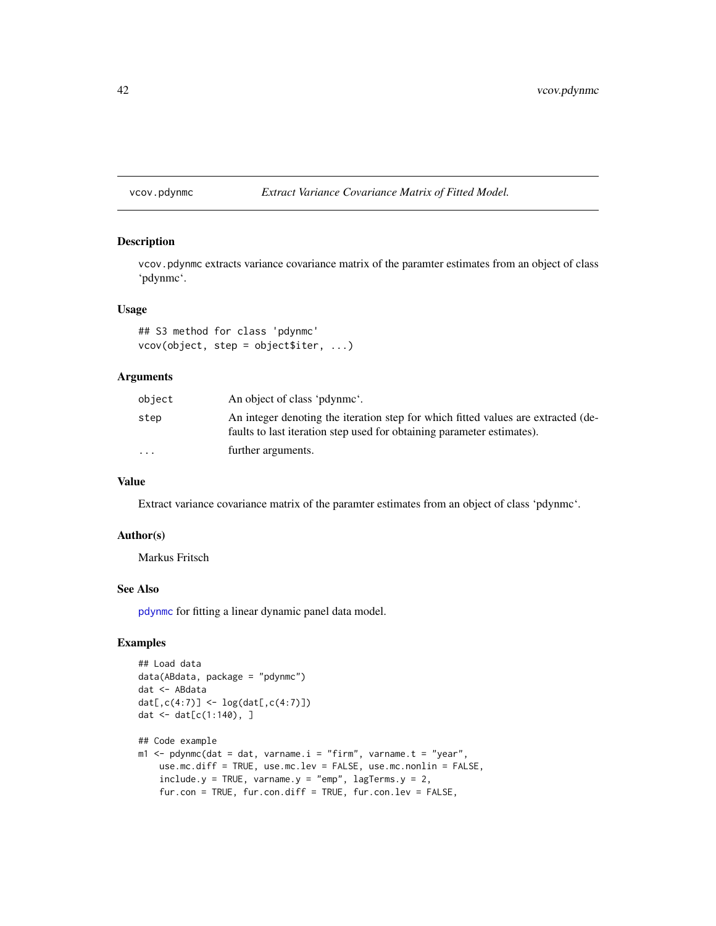<span id="page-41-0"></span>vcov.pdynmc *Extract Variance Covariance Matrix of Fitted Model.*

#### Description

vcov.pdynmc extracts variance covariance matrix of the paramter estimates from an object of class 'pdynmc'.

# Usage

```
## S3 method for class 'pdynmc'
vcov(object, step = object$iter, ...)
```
# Arguments

| object   | An object of class 'pdynme'.                                                                                                                                |
|----------|-------------------------------------------------------------------------------------------------------------------------------------------------------------|
| step     | An integer denoting the iteration step for which fitted values are extracted (de-<br>faults to last iteration step used for obtaining parameter estimates). |
| $\cdots$ | further arguments.                                                                                                                                          |

# Value

Extract variance covariance matrix of the paramter estimates from an object of class 'pdynmc'.

# Author(s)

Markus Fritsch

#### See Also

[pdynmc](#page-21-1) for fitting a linear dynamic panel data model.

```
## Load data
data(ABdata, package = "pdynmc")
dat <- ABdata
dat[,c(4:7)] <- log(data[, c(4:7)]dat \le - dat[c(1:140), ]## Code example
m1 < - pdynmc(dat = dat, varname.i = "firm", varname.t = "year",
   use.mc.diff = TRUE, use.mc.lev = FALSE, use.mc.nonlin = FALSE,
    include.y = TRUE, varname.y = "emp", lagTerms.y = 2,fur.con = TRUE, fur.con.diff = TRUE, fur.con.lev = FALSE,
```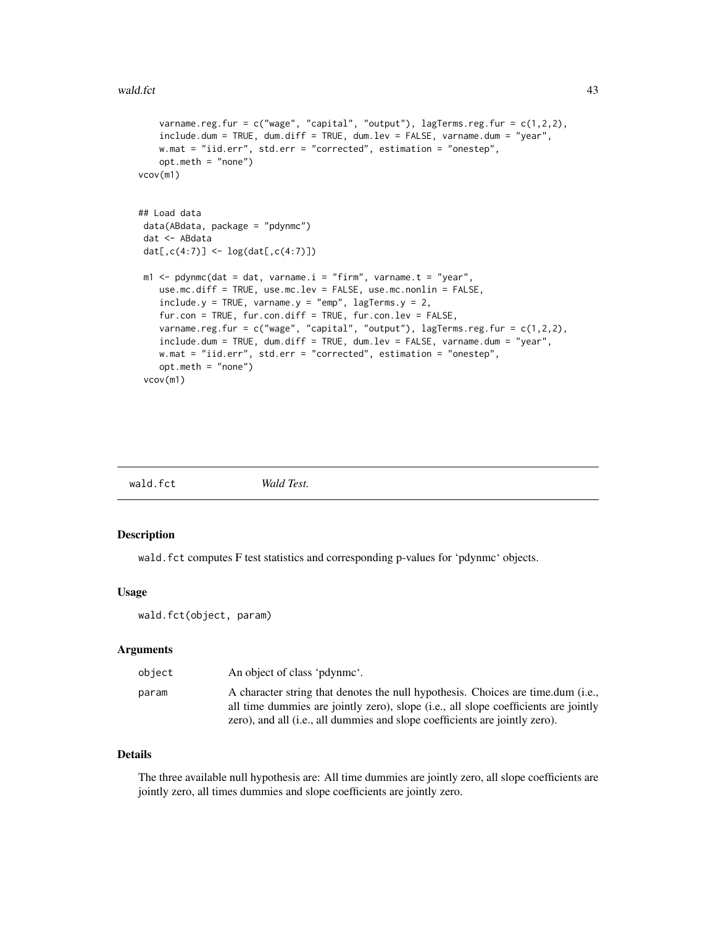```
varname.reg.fur = c("wage", "capital", "output"), lagTerms.reg.fur = <math>c(1,2,2)</math>,include.dum = TRUE, dum.diff = TRUE, dum.lev = FALSE, varname.dum = "year",
   w.mat = "iid.err", std.err = "corrected", estimation = "onestep",
   opt.meth = "none")
vcov(m1)
## Load data
data(ABdata, package = "pdynmc")
dat <- ABdata
dat[,c(4:7)] <- log(data[, c(4:7)]m1 < - pdynmc(dat = dat, varname.i = "firm", varname.t = "year",
   use.mc.diff = TRUE, use.mc.lev = FALSE, use.mc.nonlin = FALSE,
    include.y = TRUE, varname.y = "emp", lagTerms.y = 2,fur.con = TRUE, fur.con.diff = TRUE, fur.con.lev = FALSE,
   varname.reg.fur = c("wage", "capital", "output"), lagTerms.reg.fur = c(1,2,2),
   include.dum = TRUE, dum.diff = TRUE, dum.lev = FALSE, varname.dum = "year",
   w.mat = "iid.err", std.err = "corrected", estimation = "onestep",
   opt.meth = "none")
 vcov(m1)
```
<span id="page-42-1"></span>

|--|

#### Description

wald.fct computes F test statistics and corresponding p-values for 'pdynmc' objects.

#### Usage

wald.fct(object, param)

#### Arguments

| object | An object of class 'pdynme'.                                                                                                                                            |
|--------|-------------------------------------------------------------------------------------------------------------------------------------------------------------------------|
| param  | A character string that denotes the null hypothesis. Choices are time.dum (i.e.,<br>all time dummies are jointly zero), slope (i.e., all slope coefficients are jointly |
|        | zero), and all (i.e., all dummies and slope coefficients are jointly zero).                                                                                             |

# Details

The three available null hypothesis are: All time dummies are jointly zero, all slope coefficients are jointly zero, all times dummies and slope coefficients are jointly zero.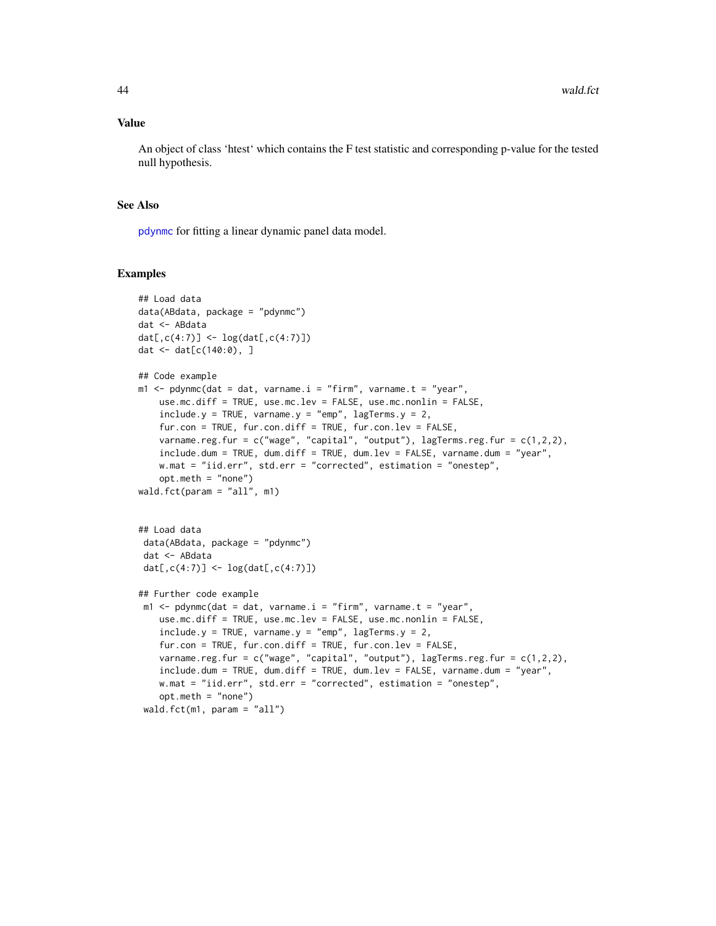#### <span id="page-43-0"></span>Value

An object of class 'htest' which contains the F test statistic and corresponding p-value for the tested null hypothesis.

# See Also

[pdynmc](#page-21-1) for fitting a linear dynamic panel data model.

```
## Load data
data(ABdata, package = "pdynmc")
dat <- ABdata
dat[,c(4:7)] <- log(data[, c(4:7)]dat <- dat[c(140:0), ]
## Code example
m1 \leq pdynmc(dat = dat, varname.i = "firm", varname.t = "year",
    use.mc.diff = TRUE, use.mc.lev = FALSE, use.mc.nonlin = FALSE,
    include.y = TRUE, varname.y = "emp", lagTerms.y = 2,fur.con = TRUE, fur.con.diff = TRUE, fur.con.lev = FALSE,
    varname.reg.fur = c("wage", "capital", "output"), lagTerms.reg.fur = c(1,2,2),
    include.dum = TRUE, dum.diff = TRUE, dum.lev = FALSE, varname.dum = "year",
   w.mat = "iid.err", std.err = "corrected", estimation = "onestep",
    opt.meth = "none")
wald.fct(param = "all", m1)
## Load data
 data(ABdata, package = "pdynmc")
 dat <- ABdata
 dat[,c(4:7)] <- log(data[, c(4:7)]## Further code example
 m1 <- pdynmc(dat = dat, varname.i = "firm", varname.t = "year",
   use.mc.diff = TRUE, use.mc.lev = FALSE, use.mc.nonlin = FALSE,
    include.y = TRUE, varname.y = "emp", lagTerms.y = 2,
    fur.con = TRUE, fur.con.diff = TRUE, fur.con.lev = FALSE,
   varname.reg.fur = c("wage", "capital", "output"), lagTerms.reg.frur = <math>c(1,2,2)</math>,include.dum = TRUE, dum.diff = TRUE, dum.lev = FALSE, varname.dum = "year",
   w.mat = "iid.err", std.err = "corrected", estimation = "onestep",
    opt.meth = "none")
 wald.fct(m1, param = "all")
```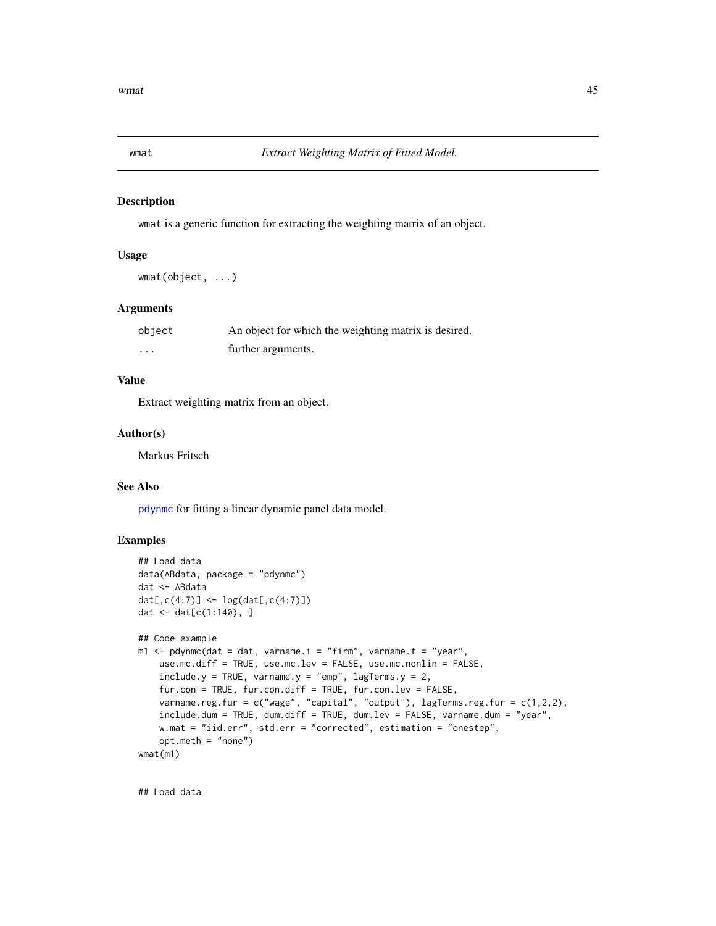<span id="page-44-0"></span>

#### Description

wmat is a generic function for extracting the weighting matrix of an object.

#### Usage

wmat(object, ...)

# Arguments

| object | An object for which the weighting matrix is desired. |
|--------|------------------------------------------------------|
| .      | further arguments.                                   |

# Value

Extract weighting matrix from an object.

#### Author(s)

Markus Fritsch

# See Also

[pdynmc](#page-21-1) for fitting a linear dynamic panel data model.

# Examples

```
## Load data
data(ABdata, package = "pdynmc")
dat <- ABdata
dat[,c(4:7)] <- log(data[, c(4:7)]dat <- dat[c(1:140), ]
## Code example
m1 < - pdynmc(dat = dat, varname.i = "firm", varname.t = "year",
   use.mc.diff = TRUE, use.mc.lev = FALSE, use.mc.nonlin = FALSE,
   include.y = TRUE, varname.y = "emp", lagTerms.y = 2,fur.con = TRUE, fur.con.diff = TRUE, fur.con.lev = FALSE,
   varname.reg.fur = c("wage", "capital", "output"), lagTerms.reg.fur = c(1,2,2),
    include.dum = TRUE, dum.diff = TRUE, dum.lev = FALSE, varname.dum = "year",
   w.mat = "iid.err", std.err = "corrected", estimation = "onestep",
   opt.meth = "none")
wmat(m1)
```
## Load data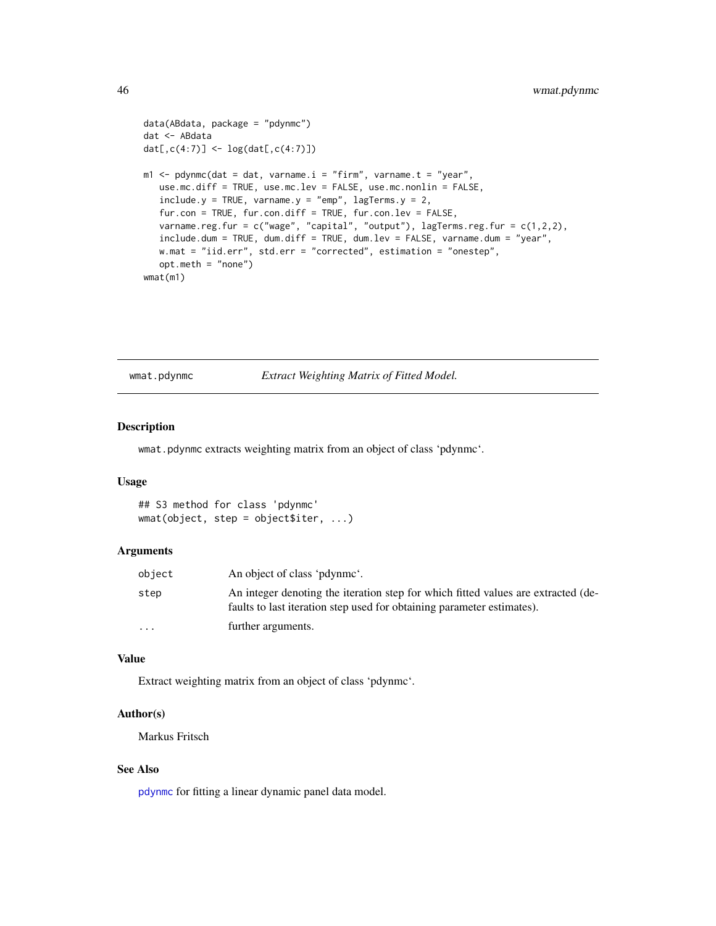```
data(ABdata, package = "pdynmc")
dat <- ABdata
dat[,c(4:7)] <- log(data[, c(4:7)]m1 <- pdynmc(dat = dat, varname.i = "firm", varname.t = "year",
  use.mc.diff = TRUE, use.mc.lev = FALSE, use.mc.nonlin = FALSE,
   include.y = TRUE, varname.y = "emp", lagTerms.y = 2,fur.con = TRUE, fur.con.diff = TRUE, fur.con.lev = FALSE,
  varname.reg.fur = c("wage", "capital", "output"), lagTerms.reg.fur = c(1,2,2),
  include.dum = TRUE, dum.diff = TRUE, dum.lev = FALSE, varname.dum = "year",
  w.mat = "iid.err", std.err = "corrected", estimation = "onestep",
   opt.meth = "none")
wmat(m1)
```
wmat.pdynmc *Extract Weighting Matrix of Fitted Model.*

# Description

wmat.pdynmc extracts weighting matrix from an object of class 'pdynmc'.

# Usage

## S3 method for class 'pdynmc' wmat(object, step = object\$iter, ...)

#### Arguments

| object    | An object of class 'pdynme'.                                                                                                                                |
|-----------|-------------------------------------------------------------------------------------------------------------------------------------------------------------|
| step      | An integer denoting the iteration step for which fitted values are extracted (de-<br>faults to last iteration step used for obtaining parameter estimates). |
| $\ddotsc$ | further arguments.                                                                                                                                          |

#### Value

Extract weighting matrix from an object of class 'pdynmc'.

# Author(s)

Markus Fritsch

#### See Also

[pdynmc](#page-21-1) for fitting a linear dynamic panel data model.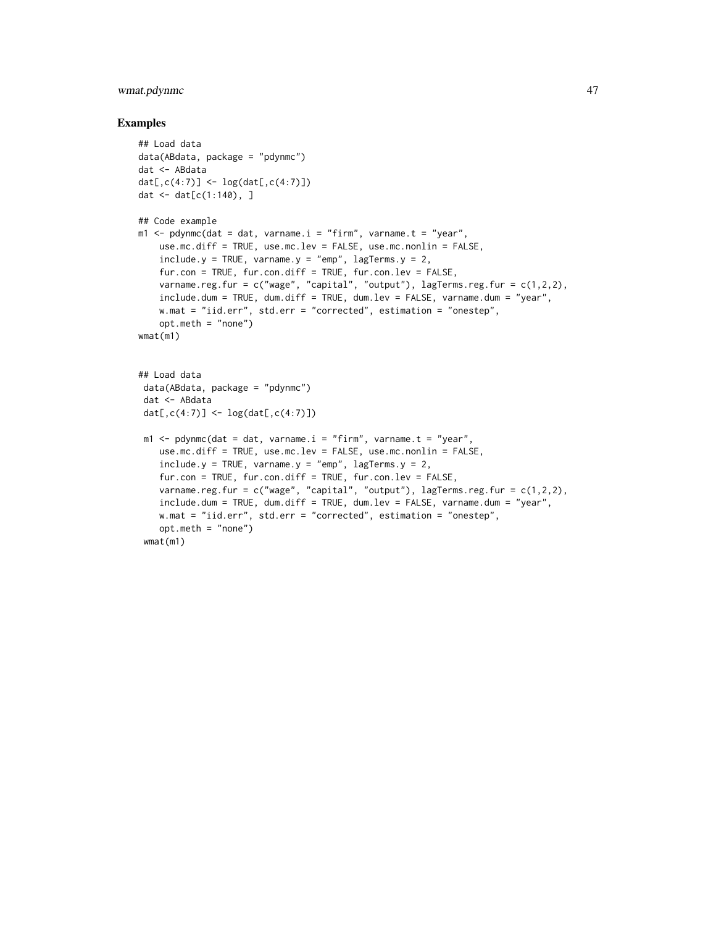# wmat.pdynmc 47

```
## Load data
data(ABdata, package = "pdynmc")
dat <- ABdata
dat[,c(4:7)] <- log(data[, c(4:7)]dat \leq - dat[c(1:140), ]## Code example
m1 \leq -\text{pdynmc}(dat = dat, varname.i = "firm", varname.t = "year",use.mc.diff = TRUE, use.mc.lev = FALSE, use.mc.nonlin = FALSE,
    include.y = TRUE, varname.y = "emp", lagTerms.y = 2,fur.con = TRUE, fur.con.diff = TRUE, fur.con.lev = FALSE,
   varname.reg.fur = c("wage", "capital", "output"), lagTerms.reg.fur = c(1,2,2),
    include.dum = TRUE, dum.diff = TRUE, dum.lev = FALSE, varname.dum = "year",
   w.mat = "iid.err", std.err = "corrected", estimation = "onestep",
   opt.meth = "none")
wmat(m1)
## Load data
 data(ABdata, package = "pdynmc")
 dat <- ABdata
 dat[0, c(4:7)] <- log(data[, c(4:7)]m1 <- pdynmc(dat = dat, varname.i = "firm", varname.t = "year",
    use.mc.diff = TRUE, use.mc.lev = FALSE, use.mc.nonlin = FALSE,
    include.y = TRUE, varname.y = "emp", lagTerms.y = 2,fur.con = TRUE, fur.con.diff = TRUE, fur.con.lev = FALSE,
   varname.reg.fur = c("wage", "capital", "output"), lagTerms.reg.fur = c(1,2,2),
    include.dum = TRUE, dum.diff = TRUE, dum.lev = FALSE, varname.dum = "year",
   w.mat = "iid.err", std.err = "corrected", estimation = "onestep",
   opt.meth = "none")
 wmat(m1)
```